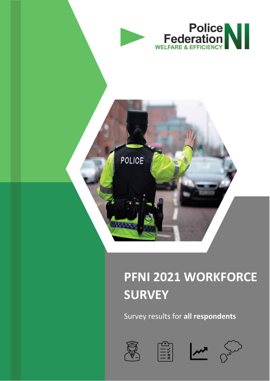

# **PFNI 2021 WORKFORCE SURVEY**

Survey results for **all respondents**



POLICE





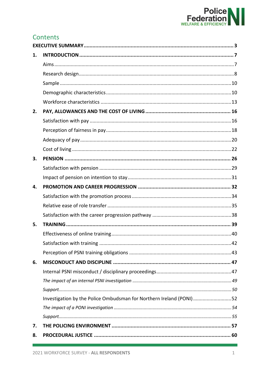

| 1. |                                                                     |     |  |
|----|---------------------------------------------------------------------|-----|--|
|    |                                                                     |     |  |
|    |                                                                     |     |  |
|    |                                                                     |     |  |
|    |                                                                     |     |  |
|    |                                                                     |     |  |
| 2. |                                                                     |     |  |
|    |                                                                     |     |  |
|    |                                                                     |     |  |
|    |                                                                     |     |  |
|    |                                                                     |     |  |
| 3. |                                                                     |     |  |
|    |                                                                     |     |  |
|    |                                                                     |     |  |
| 4. |                                                                     |     |  |
|    |                                                                     |     |  |
|    |                                                                     |     |  |
|    |                                                                     |     |  |
| 5. |                                                                     |     |  |
|    |                                                                     |     |  |
|    | Satisfaction with training                                          | .42 |  |
|    |                                                                     |     |  |
| 6. |                                                                     |     |  |
|    |                                                                     |     |  |
|    |                                                                     |     |  |
|    |                                                                     |     |  |
|    | Investigation by the Police Ombudsman for Northern Ireland (PONI)52 |     |  |
|    |                                                                     |     |  |
|    |                                                                     |     |  |
| 7. |                                                                     |     |  |
| 8. |                                                                     |     |  |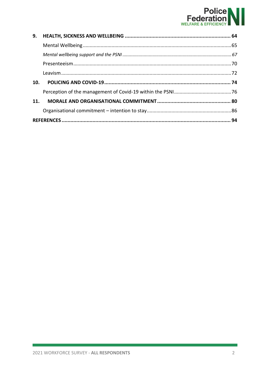

| 9.              |  |  |
|-----------------|--|--|
|                 |  |  |
|                 |  |  |
|                 |  |  |
|                 |  |  |
| 10 <sub>1</sub> |  |  |
|                 |  |  |
| 11.             |  |  |
|                 |  |  |
|                 |  |  |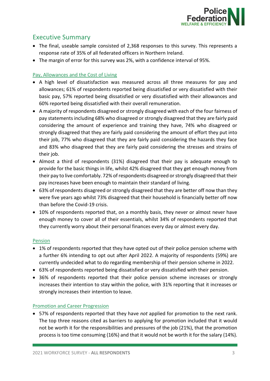

# <span id="page-3-0"></span>Executive Summary

- The final, useable sample consisted of 2,368 responses to this survey. This represents a response rate of 35% of all federated officers in Northern Ireland.
- The margin of error for this survey was 2%, with a confidence interval of 95%.

## Pay, Allowances and the Cost of Living

- A high level of dissatisfaction was measured across all three measures for pay and allowances; 61% of respondents reported being dissatisfied or very dissatisfied with their basic pay, 57% reported being dissatisfied or very dissatisfied with their allowances and 60% reported being dissatisfied with their overall remuneration.
- A majority of respondents disagreed or strongly disagreed with each of the four fairness of pay statements including 68% who disagreed or strongly disagreed that they are fairly paid considering the amount of experience and training they have, 74% who disagreed or strongly disagreed that they are fairly paid considering the amount of effort they put into their job, 77% who disagreed that they are fairly paid considering the hazards they face and 83% who disagreed that they are fairly paid considering the stresses and strains of their job.
- Almost a third of respondents (31%) disagreed that their pay is adequate enough to provide for the basic things in life, whilst 42% disagreed that they get enough money from their pay to live comfortably. 72% of respondents disagreed or strongly disagreed that their pay increases have been enough to maintain their standard of living.
- 63% of respondents disagreed or strongly disagreed that they are better off now than they were five years ago whilst 73% disagreed that their household is financially better off now than before the Covid-19 crisis.
- 10% of respondents reported that, on a monthly basis, they never or almost never have enough money to cover all of their essentials, whilst 34% of respondents reported that they currently worry about their personal finances every day or almost every day.

## Pension

- 1% of respondents reported that they have opted out of their police pension scheme with a further 6% intending to opt out after April 2022. A majority of respondents (59%) are currently undecided what to do regarding membership of their pension scheme in 2022.
- 63% of respondents reported being dissatisfied or very dissatisfied with their pension.
- 36% of respondents reported that their police pension scheme increases or strongly increases their intention to stay within the police, with 31% reporting that it increases or strongly increases their intention to leave.

## Promotion and Career Progression

• 57% of respondents reported that they have *not* applied for promotion to the next rank. The top three reasons cited as barriers to applying for promotion included that it would not be worth it for the responsibilities and pressures of the job (21%), that the promotion process is too time consuming (16%) and that it would not be worth it for the salary (14%).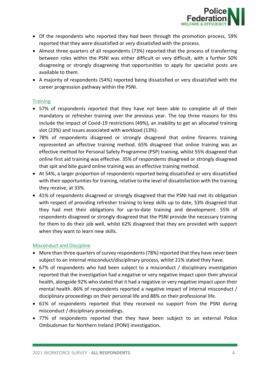

- Of the respondents who reported they *had* been through the promotion process, 59% reported that they were dissatisfied or very dissatisfied with the process.
- Almost three quarters of all respondents (73%) reported that the process of transferring between roles within the PSNI was either difficult or very difficult, with a further 50% disagreeing or strongly disagreeing that opportunities to apply for specialist posts are available to them.
- A majority of respondents (54%) reported being dissatisfied or very dissatisfied with the career progression pathway within the PSNI.

#### **Training**

- 57% of respondents reported that they have *not* been able to complete all of their mandatory or refresher training over the previous year. The top three reasons for this include the impact of Covid-19 restrictions (49%), an inability to get an allocated training slot (23%) and issues associated with workload (13%).
- 78% of respondents disagreed or strongly disagreed that online firearms training represented an affective training method. 65% disagreed that online training was an effective method for Personal Safety Programme (PSP) training, whilst 55% disagreed that online first aid training was effective. 35% of respondents disagreed or strongly disagreed that spit and bite guard online training was an effective training method.
- At 54%, a larger proportion of respondents reported being dissatisfied or very dissatisfied with their opportunities for training, relative to the level of dissatisfaction with the training they receive, at 33%.
- 41% of respondents disagreed or strongly disagreed that the PSNI had met its obligation with respect of providing refresher training to keep skills up to date, 53% disagreed that they had met their obligations for up-to-date training and development. 55% of respondents disagreed or strongly disagreed that the PSNI provide the necessary training for them to do their job well, whilst 62% disagreed that they are provided with support when they want to learn new skills.

#### Misconduct and Discipline

- More than three quarters of survey respondents (78%) reported that they have *never* been subject to an internal misconduct/disciplinary process, whilst 21% stated they have.
- 67% of respondents who had been subject to a misconduct / disciplinary investigation reported that the investigation had a negative or very negative impact upon their physical health, alongside 92% who stated that it had a negative or very negative impact upon their mental health. 86% of respondents reported a negative impact of internal misconduct / disciplinary proceedings on their personal life and 88% on their professional life.
- 61% of respondents reported that they received no support from the PSNI during misconduct / disciplinary proceedings.
- 77% of respondents reported that they have been subject to an external Police Ombudsman for Northern Ireland (PONI) investigation**.**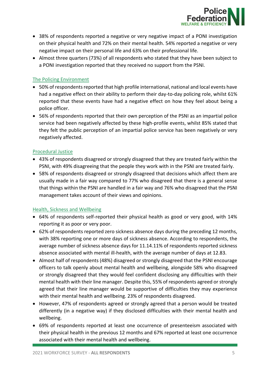

- 38% of respondents reported a negative or very negative impact of a PONI investigation on their physical health and 72% on their mental health. 54% reported a negative or very negative impact on their personal life and 63% on their professional life.
- Almost three quarters (73%) of all respondents who stated that they have been subject to a PONI investigation reported that they received no support from the PSNI.

#### The Policing Environment

- 50% of respondents reported that high profile international, national and local events have had a negative effect on their ability to perform their day-to-day policing role, whilst 61% reported that these events have had a negative effect on how they feel about being a police officer.
- 56% of respondents reported that their own perception of the PSNI as an impartial police service had been negatively affected by these high-profile events, whilst 85% stated that they felt the public perception of an impartial police service has been negatively or very negatively affected.

#### Procedural Justice

- 43% of respondents disagreed or strongly disagreed that they are treated fairly within the PSNI, with 49% disagreeing that the people they work with in the PSNI are treated fairly.
- 58% of respondents disagreed or strongly disagreed that decisions which affect them are usually made in a fair way compared to 77% who disagreed that there is a general sense that things within the PSNI are handled in a fair way and 76% who disagreed that the PSNI management takes account of their views and opinions.

#### Health, Sickness and Wellbeing

- 64% of respondents self-reported their physical health as good or very good, with 14% reporting it as poor or very poor.
- 62% of respondents reported zero sickness absence days during the preceding 12 months, with 38% reporting one or more days of sickness absence. According to respondents, the average number of sickness absence days for 11.14.11% of respondents reported sickness absence associated with mental ill-health, with the average number of days at 12.83.
- Almost half of respondents (48%) disagreed or strongly disagreed that the PSNI encourage officers to talk openly about mental health and wellbeing, alongside 58% who disagreed or strongly disagreed that they would feel confident disclosing any difficulties with their mental health with their line manager. Despite this, 55% of respondents agreed or strongly agreed that their line manager would be supportive of difficulties they may experience with their mental health and wellbeing. 23% of respondents disagreed.
- However, 47% of respondents agreed or strongly agreed that a person would be treated differently (in a negative way) if they disclosed difficulties with their mental health and wellbeing.
- 69% of respondents reported at least one occurrence of presenteeism associated with their physical health in the previous 12 months and 67% reported at least one occurrence associated with their mental health and wellbeing.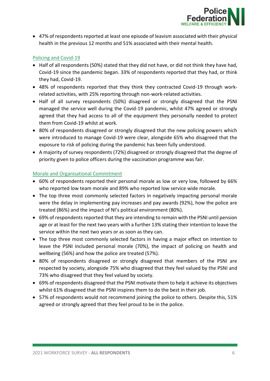

• 47% of respondents reported at least one episode of leavism associated with their physical health in the previous 12 months and 51% associated with their mental health.

#### Policing and Covid-19

- Half of all respondents (50%) stated that they did not have, or did not think they have had, Covid-19 since the pandemic began. 33% of respondents reported that they had, or think they had, Covid-19.
- 48% of respondents reported that they think they contracted Covid-19 through workrelated activities, with 25% reporting through non-work-related activities.
- Half of all survey respondents (50%) disagreed or strongly disagreed that the PSNI managed the service well during the Covid-19 pandemic, whilst 47% agreed or strongly agreed that they had access to all of the equipment they personally needed to protect them from Covid-19 whilst at work.
- 80% of respondents disagreed or strongly disagreed that the new policing powers which were introduced to manage Covid-19 were clear, alongside 65% who disagreed that the exposure to risk of policing during the pandemic has been fully understood.
- A majority of survey respondents (72%) disagreed or strongly disagreed that the degree of priority given to police officers during the vaccination programme was fair.

#### Morale and Organisational Commitment

- 60% of respondents reported their personal morale as low or very low, followed by 66% who reported low team morale and 89% who reported low service wide morale.
- The top three most commonly selected factors in negatively impacting personal morale were the delay in implementing pay increases and pay awards (92%), how the police are treated (86%) and the impact of NI's political environment (80%).
- 69% of respondents reported that they are intending to remain with the PSNI until pension age or at least for the next two years with a further 13% stating their intention to leave the service within the next two years or as soon as they can.
- The top three most commonly selected factors in having a major effect on intention to leave the PSNI included personal morale (70%), the impact of policing on health and wellbeing (56%) and how the police are treated (57%).
- 80% of respondents disagreed or strongly disagreed that members of the PSNI are respected by society, alongside 75% who disagreed that they feel valued by the PSNI and 73% who disagreed that they feel valued by society.
- 69% of respondents disagreed that the PSNI motivate them to help it achieve its objectives whilst 61% disagreed that the PSNI inspires them to do the best in their job.
- 57% of respondents would not recommend joining the police to others. Despite this, 51% agreed or strongly agreed that they feel proud to be in the police.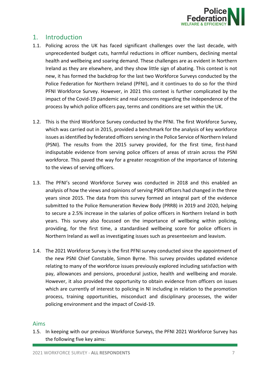

## <span id="page-7-0"></span>1. Introduction

- 1.1. Policing across the UK has faced significant challenges over the last decade, with unprecedented budget cuts, harmful reductions in officer numbers, declining mental health and wellbeing and soaring demand. These challenges are as evident in Northern Ireland as they are elsewhere, and they show little sign of abating. This context is not new, it has formed the backdrop for the last two Workforce Surveys conducted by the Police Federation for Northern Ireland (PFNI), and it continues to do so for the third PFNI Workforce Survey. However, in 2021 this context is further complicated by the impact of the Covid-19 pandemic and real concerns regarding the independence of the process by which police officers pay, terms and conditions are set within the UK.
- 1.2. This is the third Workforce Survey conducted by the PFNI. The first Workforce Survey, which was carried out in 2015, provided a benchmark for the analysis of key workforce issues as identified by federated officers serving in the Police Service of Northern Ireland (PSNI). The results from the 2015 survey provided, for the first time, first-hand indisputable evidence from serving police officers of areas of strain across the PSNI workforce. This paved the way for a greater recognition of the importance of listening to the views of serving officers.
- 1.3. The PFNI's second Workforce Survey was conducted in 2018 and this enabled an analysis of how the views and opinions of serving PSNI officers had changed in the three years since 2015. The data from this survey formed an integral part of the evidence submitted to the Police Remuneration Review Body (PRRB) in 2019 and 2020, helping to secure a 2.5% increase in the salaries of police officers in Northern Ireland in both years. This survey also focussed on the importance of wellbeing within policing, providing, for the first time, a standardised wellbeing score for police officers in Northern Ireland as well as investigating issues such as presenteeism and leavism.
- 1.4. The 2021 Workforce Survey is the first PFNI survey conducted since the appointment of the new PSNI Chief Constable, Simon Byrne. This survey provides updated evidence relating to many of the workforce issues previously explored including satisfaction with pay, allowances and pensions, procedural justice, health and wellbeing and morale. However, it also provided the opportunity to obtain evidence from officers on issues which are currently of interest to policing in NI including in relation to the promotion process, training opportunities, misconduct and disciplinary processes, the wider policing environment and the impact of Covid-19.

## <span id="page-7-1"></span>Aims

1.5. In keeping with our previous Workforce Surveys, the PFNI 2021 Workforce Survey has the following five key aims: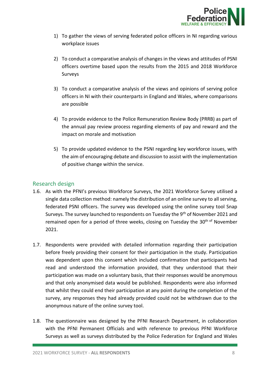

- 1) To gather the views of serving federated police officers in NI regarding various workplace issues
- 2) To conduct a comparative analysis of changes in the views and attitudes of PSNI officers overtime based upon the results from the 2015 and 2018 Workforce Surveys
- 3) To conduct a comparative analysis of the views and opinions of serving police officers in NI with their counterparts in England and Wales, where comparisons are possible
- 4) To provide evidence to the Police Remuneration Review Body (PRRB) as part of the annual pay review process regarding elements of pay and reward and the impact on morale and motivation
- 5) To provide updated evidence to the PSNI regarding key workforce issues, with the aim of encouraging debate and discussion to assist with the implementation of positive change within the service.

## <span id="page-8-0"></span>Research design

- 1.6. As with the PFNI's previous Workforce Surveys, the 2021 Workforce Survey utilised a single data collection method: namely the distribution of an online survey to all serving, federated PSNI officers. The survey was developed using the online survey tool Snap Surveys. The survey launched to respondents on Tuesday the 9<sup>th</sup> of November 2021 and remained open for a period of three weeks, closing on Tuesday the 30<sup>th of</sup> November 2021.
- 1.7. Respondents were provided with detailed information regarding their participation before freely providing their consent for their participation in the study. Participation was dependent upon this consent which included confirmation that participants had read and understood the information provided, that they understood that their participation was made on a voluntary basis, that their responses would be anonymous and that only anonymised data would be published. Respondents were also informed that whilst they could end their participation at any point during the completion of the survey, any responses they had already provided could not be withdrawn due to the anonymous nature of the online survey tool.
- 1.8. The questionnaire was designed by the PFNI Research Department, in collaboration with the PFNI Permanent Officials and with reference to previous PFNI Workforce Surveys as well as surveys distributed by the Police Federation for England and Wales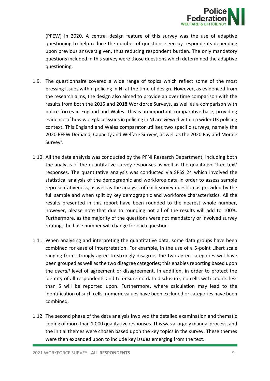

(PFEW) in 2020. A central design feature of this survey was the use of adaptive questioning to help reduce the number of questions seen by respondents depending upon previous answers given, thus reducing respondent burden. The only mandatory questions included in this survey were those questions which determined the adaptive questioning.

- 1.9. The questionnaire covered a wide range of topics which reflect some of the most pressing issues within policing in NI at the time of design. However, as evidenced from the research aims, the design also aimed to provide an over time comparison with the results from both the 2015 and 2018 Workforce Surveys, as well as a comparison with police forces in England and Wales. This is an important comparative base, providing evidence of how workplace issues in policing in NI are viewed within a wider UK policing context. This England and Wales comparator utilises two specific surveys, namely the 2020 PFEW Demand, Capacity and Welfare Survey<sup>i</sup>, as well as the 2020 Pay and Morale Survey<sup>ii</sup>.
- 1.10. All the data analysis was conducted by the PFNI Research Department, including both the analysis of the quantitative survey responses as well as the qualitative 'free text' responses. The quantitative analysis was conducted via SPSS 24 which involved the statistical analysis of the demographic and workforce data in order to assess sample representativeness, as well as the analysis of each survey question as provided by the full sample and when split by key demographic and workforce characteristics. All the results presented in this report have been rounded to the nearest whole number, however, please note that due to rounding not all of the results will add to 100%. Furthermore, as the majority of the questions were not mandatory or involved survey routing, the base number will change for each question.
- 1.11. When analysing and interpreting the quantitative data, some data groups have been combined for ease of interpretation. For example, in the use of a 5-point Likert scale ranging from strongly agree to strongly disagree, the two agree categories will have been grouped as well as the two disagree categories; this enables reporting based upon the *overall* level of agreement or disagreement. In addition, in order to protect the identity of all respondents and to ensure no data disclosure, no cells with counts less than 5 will be reported upon. Furthermore, where calculation may lead to the identification of such cells, numeric values have been excluded or categories have been combined.
- 1.12. The second phase of the data analysis involved the detailed examination and thematic coding of more than 1,000 qualitative responses. This was a largely manual process, and the initial themes were chosen based upon the key topics in the survey. These themes were then expanded upon to include key issues emerging from the text.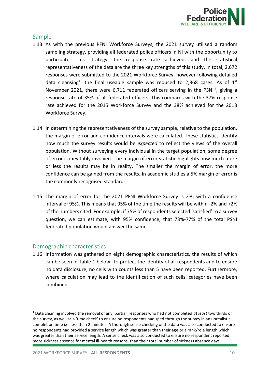

## <span id="page-10-0"></span>Sample

- 1.13. As with the previous PFNI Workforce Surveys, the 2021 survey utilised a random sampling strategy, providing all federated police officers in NI with the opportunity to participate. This strategy, the response rate achieved, and the statistical representativeness of the data are the three key strengths of this study. In total, 2,672 responses were submitted to the 2021 Workforce Survey, however following detailed data cleansing<sup>1</sup>, the final useable sample was reduced to 2,368 cases. As of  $1^{st}$ November 2021, there were 6,711 federated officers serving in the PSNI<sup>iii</sup>, giving a response rate of 35% of all federated officers. This compares with the 37% response rate achieved for the 2015 Workforce Survey and the 38% achieved for the 2018 Workforce Survey.
- 1.14. In determining the representativeness of the survey sample, relative to the population, the margin of error and confidence intervals were calculated. These statistics identify how much the survey results would be *expected* to reflect the views of the overall population. Without surveying every individual in the target population, some degree of error is inevitably involved. The margin of error statistic highlights how much more or less the results may be in reality. The smaller the margin of error, the more confidence can be gained from the results. In academic studies a 5% margin of error is the commonly recognised standard.
- 1.15. The margin of error for the 2021 PFNI Workforce Survey is 2%, with a confidence interval of 95%. This means that 95% of the time the results will be within -2% and +2% of the numbers cited. For example, if 75% of respondents selected 'satisfied' to a survey question, we can estimate, with 95% confidence, that 73%-77% of the total PSNI federated population would answer the same.

## <span id="page-10-1"></span>Demographic characteristics

1.16. Information was gathered on eight demographic characteristics, the results of which can be seen in Table 1 below. To protect the identity of all respondents and to ensure no data disclosure, no cells with counts less than 5 have been reported. Furthermore, where calculation may lead to the identification of such cells, categories have been combined.

<sup>1</sup> Data cleaning involved the removal of any 'partial' responses who had not completed *at least* two thirds of the survey, as well as a 'time check' to ensure no respondents had sped through the survey in an unrealistic completion time i.e. less than 2 minutes. A thorough sense checking of the data was also conducted to ensure no respondents had provided a service length which was greater than their age or a rank/role length which was greater than their service length. A sense check was also conducted to ensure no respondent reported more sickness absence for mental ill-health reasons, than their total number of sickness absence days.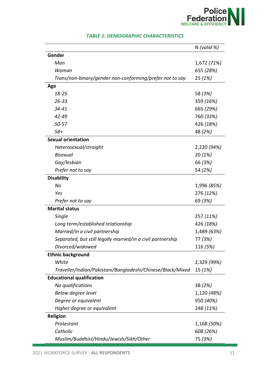

|                                                             | $N$ (valid %) |  |
|-------------------------------------------------------------|---------------|--|
| Gender                                                      |               |  |
| Man                                                         | 1,672 (71%)   |  |
| Woman                                                       | 655 (28%)     |  |
| Trans/non-binary/gender non-conforming/prefer not to say    | 25(1%)        |  |
| Age                                                         |               |  |
| 18-25                                                       | 58 (3%)       |  |
| $26 - 33$                                                   | 359 (16%)     |  |
| 34-41                                                       | 665 (29%)     |  |
| 42-49                                                       | 760 (33%)     |  |
| 50-57                                                       | 426 (18%)     |  |
| $58+$                                                       | 48 (2%)       |  |
| <b>Sexual orientation</b>                                   |               |  |
| Heterosexual/straight                                       | 2,220 (94%)   |  |
| <b>Bisexual</b>                                             | 20(1%)        |  |
| Gay/lesbian                                                 | 66 (3%)       |  |
| Prefer not to say                                           | 54 (2%)       |  |
| <b>Disability</b>                                           |               |  |
| No                                                          | 1,996 (85%)   |  |
| Yes                                                         | 276 (12%)     |  |
| Prefer not to say                                           | 69 (3%)       |  |
| <b>Marital status</b>                                       |               |  |
| Single                                                      | 257 (11%)     |  |
| Long term/established relationship                          | 426 (18%)     |  |
| Married/in a civil partnership                              | 1,489 (63%)   |  |
| Separated, but still legally married/in a civil partnership | 77 (3%)       |  |
| Divorced/widowed                                            | 116 (5%)      |  |
| <b>Ethnic background</b>                                    |               |  |
| White                                                       | 2,329 (99%)   |  |
| Traveller/Indian/Pakistani/Bangladeshi/Chinese/Black/Mixed  | 15 (1%)       |  |
| <b>Educational qualification</b>                            |               |  |
| No qualifications                                           | 38(2%)        |  |
| Below degree level                                          | 1,120 (48%)   |  |
| Degree or equivalent                                        | 950 (40%)     |  |
| Higher degree or equivalent                                 | 248 (11%)     |  |
| Religion                                                    |               |  |
| Protestant                                                  | 1,168 (50%)   |  |
| Catholic                                                    | 608 (26%)     |  |
| Muslim/Buddhist/Hindu/Jewish/Sikh/Other                     | 75 (3%)       |  |

#### *TABLE 1: DEMOGRAPHIC CHARACTERISTICS*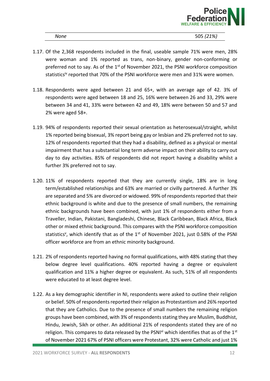

- 1.17. Of the 2,368 respondents included in the final, useable sample 71% were men, 28% were woman and 1% reported as trans, non-binary, gender non-conforming or preferred not to say. As of the 1<sup>st</sup> of November 2021, the PSNI workforce composition statistics<sup>iv</sup> reported that 70% of the PSNI workforce were men and 31% were women.
- 1.18. Respondents were aged between 21 and 65+, with an average age of 42. 3% of respondents were aged between 18 and 25, 16% were between 26 and 33, 29% were between 34 and 41, 33% were between 42 and 49, 18% were between 50 and 57 and 2% were aged 58+.
- 1.19. 94% of respondents reported their sexual orientation as heterosexual/straight, whilst 1% reported being bisexual, 3% report being gay or lesbian and 2% preferred not to say. 12% of respondents reported that they had a disability, defined as a physical or mental impairment that has a substantial long term adverse impact on their ability to carry out day to day activities. 85% of respondents did not report having a disability whilst a further 3% preferred not to say.
- 1.20. 11% of respondents reported that they are currently single, 18% are in long term/established relationships and 63% are married or civilly partnered. A further 3% are separated and 5% are divorced or widowed. 99% of respondents reported that their ethnic background is white and due to the presence of small numbers, the remaining ethnic backgrounds have been combined, with just 1% of respondents either from a Traveller, Indian, Pakistani, Bangladeshi, Chinese, Black Caribbean, Black Africa, Black other or mixed ethnic background. This compares with the PSNI workforce composition statistics<sup>v</sup>, which identify that as of the 1<sup>st</sup> of November 2021, just 0.58% of the PSNI officer workforce are from an ethnic minority background.
- 1.21. 2% of respondents reported having no formal qualifications, with 48% stating that they below degree level qualifications. 40% reported having a degree or equivalent qualification and 11% a higher degree or equivalent. As such, 51% of all respondents were educated to at least degree level.
- 1.22. As a key demographic identifier in NI, respondents were asked to outline their religion or belief. 50% of respondents reported their religion as Protestantism and 26% reported that they are Catholics. Due to the presence of small numbers the remaining religion groups have been combined, with 3% of respondents stating they are Muslim, Buddhist, Hindu, Jewish, Sikh or other. An additional 21% of respondents stated they are of no religion. This compares to data released by the PSNI<sup>vi</sup> which identifies that as of the  $1<sup>st</sup>$ of November 2021 67% of PSNI officers were Protestant, 32% were Catholic and just 1%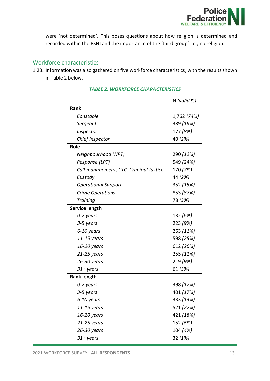

were 'not determined'. This poses questions about how religion is determined and recorded within the PSNI and the importance of the 'third group' i.e., no religion.

## <span id="page-13-0"></span>Workforce characteristics

1.23. Information was also gathered on five workforce characteristics, with the results shown in Table 2 below.

|                                        | $N$ (valid %) |
|----------------------------------------|---------------|
| Rank                                   |               |
| Constable                              | 1,762 (74%)   |
| Sergeant                               | 389 (16%)     |
| Inspector                              | 177 (8%)      |
| Chief Inspector                        | 40 (2%)       |
| <b>Role</b>                            |               |
| Neighbourhood (NPT)                    | 290 (12%)     |
| Response (LPT)                         | 549 (24%)     |
| Call management, CTC, Criminal Justice | 170 (7%)      |
| Custody                                | 44 (2%)       |
| <b>Operational Support</b>             | 352 (15%)     |
| <b>Crime Operations</b>                | 853 (37%)     |
| <b>Training</b>                        | 78 (3%)       |
| Service length                         |               |
| 0-2 years                              | 132 (6%)      |
| 3-5 years                              | 223 (9%)      |
| 6-10 years                             | 263 (11%)     |
| $11-15$ years                          | 598 (25%)     |
| 16-20 years                            | 612 (26%)     |
| 21-25 years                            | 255 (11%)     |
| 26-30 years                            | 219 (9%)      |
| 31+ years                              | 61 (3%)       |
| <b>Rank length</b>                     |               |
| 0-2 years                              | 398 (17%)     |
| 3-5 years                              | 401 (17%)     |
| 6-10 years                             | 333 (14%)     |
| 11-15 years                            | 521 (22%)     |
| 16-20 years                            | 421 (18%)     |
| 21-25 years                            | 152 (6%)      |
| 26-30 years                            | 104 (4%)      |
| $31 + years$                           | 32 (1%)       |

#### *TABLE 2: WORKFORCE CHARACTERISTICS*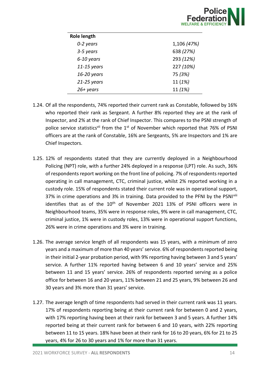

| <b>Role length</b> |             |  |
|--------------------|-------------|--|
| 0-2 years          | 1,106 (47%) |  |
| 3-5 years          | 638 (27%)   |  |
| 6-10 years         | 293 (12%)   |  |
| $11-15$ years      | 227 (10%)   |  |
| 16-20 years        | 75 (3%)     |  |
| $21-25$ years      | 11(1%)      |  |
| 26+ years          | 11(1%)      |  |

- 1.24. Of all the respondents, 74% reported their current rank as Constable, followed by 16% who reported their rank as Sergeant. A further 8% reported they are at the rank of Inspector, and 2% at the rank of Chief Inspector. This compares to the PSNI strength of police service statistics<sup>vii</sup> from the  $1<sup>st</sup>$  of November which reported that 76% of PSNI officers are at the rank of Constable, 16% are Sergeants, 5% are Inspectors and 1% are Chief Inspectors.
- 1.25. 12% of respondents stated that they are currently deployed in a Neighbourhood Policing (NPT) role, with a further 24% deployed in a response (LPT) role. As such, 36% of respondents report working on the front line of policing. 7% of respondents reported operating in call management, CTC, criminal justice, whilst 2% reported working in a custody role. 15% of respondents stated their current role was in operational support, 37% in crime operations and 3% in training. Data provided to the PFNI by the PSNIviii identifies that as of the  $10<sup>th</sup>$  of November 2021 13% of PSNI officers were in Neighbourhood teams, 35% were in response roles, 9% were in call management, CTC, criminal justice, 1% were in custody roles, 13% were in operational support functions, 26% were in crime operations and 3% were in training.
- 1.26. The average service length of all respondents was 15 years, with a minimum of zero years and a maximum of more than 40 years' service. 6% of respondents reported being in their initial 2-year probation period, with 9% reporting having between 3 and 5 years' service. A further 11% reported having between 6 and 10 years' service and 25% between 11 and 15 years' service. 26% of respondents reported serving as a police office for between 16 and 20 years, 11% between 21 and 25 years, 9% between 26 and 30 years and 3% more than 31 years' service.
- 1.27. The average length of time respondents had served in their current rank was 11 years. 17% of respondents reporting being at their current rank for between 0 and 2 years, with 17% reporting having been at their rank for between 3 and 5 years. A further 14% reported being at their current rank for between 6 and 10 years, with 22% reporting between 11 to 15 years. 18% have been at their rank for 16 to 20 years, 6% for 21 to 25 years, 4% for 26 to 30 years and 1% for more than 31 years.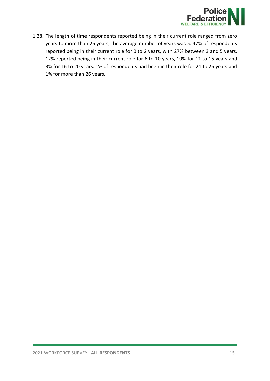

1.28. The length of time respondents reported being in their current role ranged from zero years to more than 26 years; the average number of years was 5. 47% of respondents reported being in their current role for 0 to 2 years, with 27% between 3 and 5 years. 12% reported being in their current role for 6 to 10 years, 10% for 11 to 15 years and 3% for 16 to 20 years. 1% of respondents had been in their role for 21 to 25 years and 1% for more than 26 years.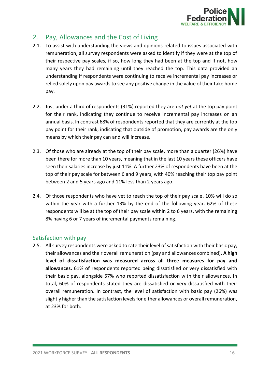

## <span id="page-16-0"></span>2. Pay, Allowances and the Cost of Living

- 2.1. To assist with understanding the views and opinions related to issues associated with remuneration, all survey respondents were asked to identify if they were at the top of their respective pay scales, if so, how long they had been at the top and if not, how many years they had remaining until they reached the top. This data provided an understanding if respondents were continuing to receive incremental pay increases or relied solely upon pay awards to see any positive change in the value of their take home pay.
- 2.2. Just under a third of respondents (31%) reported they are *not yet* at the top pay point for their rank, indicating they continue to receive incremental pay increases on an annual basis. In contrast 68% of respondents reported that they are currently at the top pay point for their rank, indicating that outside of promotion, pay awards are the only means by which their pay can and will increase.
- 2.3. Of those who are already at the top of their pay scale, more than a quarter (26%) have been there for more than 10 years, meaning that in the last 10 years these officers have seen their salaries increase by just 11%. A further 23% of respondents have been at the top of their pay scale for between 6 and 9 years, with 40% reaching their top pay point between 2 and 5 years ago and 11% less than 2 years ago.
- 2.4. Of those respondents who have yet to reach the top of their pay scale, 10% will do so within the year with a further 13% by the end of the following year. 62% of these respondents will be at the top of their pay scale within 2 to 6 years, with the remaining 8% having 6 or 7 years of incremental payments remaining.

## <span id="page-16-1"></span>Satisfaction with pay

2.5. All survey respondents were asked to rate their level of satisfaction with their basic pay, their allowances and their overall remuneration (pay and allowances combined). **A high level of dissatisfaction was measured across all three measures for pay and allowances.** 61% of respondents reported being dissatisfied or very dissatisfied with their basic pay, alongside 57% who reported dissatisfaction with their allowances. In total, 60% of respondents stated they are dissatisfied or very dissatisfied with their overall remuneration. In contrast, the level of satisfaction with basic pay (26%) was slightly higher than the satisfaction levels for either allowances or overall remuneration, at 23% for both.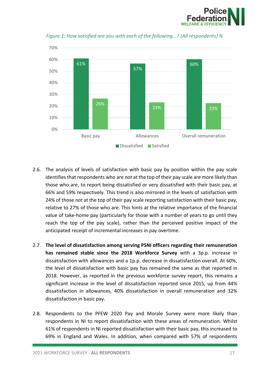



*Figure 1: How satisfied are you with each of the following...? (All respondents) %*

- 2.6. The analysis of levels of satisfaction with basic pay by position within the pay scale identifies that respondents who are *not* at the top of their pay scale are more likely than those who are, to report being dissatisfied or very dissatisfied with their basic pay, at 66% and 59% respectively. This trend is also mirrored in the levels of satisfaction with 24% of those *not* at the top of their pay scale reporting satisfaction with their basic pay, relative to 27% of those who are. This hints at the relative importance of the financial value of take-home pay (particularly for those with a number of years to go until they reach the top of the pay scale), rather than the perceived positive impact of the anticipated receipt of incremental increases in pay overtime.
- 2.7. **The level of dissatisfaction among serving PSNI officers regarding their remuneration has remained stable since the 2018 Workforce Survey** with a 3p.p. increase in dissatisfaction with allowances and a 1p.p. decrease in dissatisfaction overall. At 60%, the level of dissatisfaction with basic pay has remained the same as that reported in 2018. However, as reported in the previous workforce survey report, this remains a significant increase in the level of dissatisfaction reported since 2015, up from 44% dissatisfaction in allowances, 40% dissatisfaction in overall remuneration and 32% dissatisfaction in basic pay.
- 2.8. Respondents to the PFEW 2020 Pay and Morale Survey were more likely than respondents in NI to report dissatisfaction with these areas of remuneration. Whilst 61% of respondents in NI reported dissatisfaction with their basic pay, this increased to 69% in England and Wales. In addition, when compared with 57% of respondents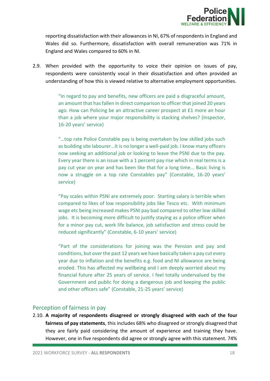

reporting dissatisfaction with their allowances in NI, 67% of respondents in England and Wales did so. Furthermore, dissatisfaction with overall remuneration was 71% in England and Wales compared to 60% in NI.

2.9. When provided with the opportunity to voice their opinion on issues of pay, respondents were consistently vocal in their dissatisfaction and often provided an understanding of how this is viewed relative to alternative employment opportunities.

> "In regard to pay and benefits, new officers are paid a disgraceful amount, an amount that has fallen in direct comparison to officer that joined 20 years ago. How can Policing be an attractive career prospect at £1 more an hour than a job where your major responsibility is stacking shelves? (Inspector, 16-20 years' service)

> "…top rate Police Constable pay is being overtaken by low skilled jobs such as building site labourer…It is no longer a well-paid job. I know many officers now seeking an additional job or looking to leave the PSNI due to the pay. Every year there is an issue with a 1 percent pay rise which in real terms is a pay cut year on year and has been like that for a long time... Basic living is now a struggle on a top rate Constables pay" (Constable, 16-20 years' service)

> "Pay scales within PSNI are extremely poor. Starting salary is terrible when compared to likes of low responsibility jobs like Tesco etc. With minimum wage etc being increased makes PSNI pay bad compared to other low skilled jobs. It is becoming more difficult to justify staying as a police officer when for a minor pay cut, work life balance, job satisfaction and stress could be reduced significantly" (Constable, 6-10 years' service)

> "Part of the considerations for joining was the Pension and pay and conditions, but over the past 12 years we have basically taken a pay cut every year due to inflation and the benefits e.g. food and NI allowance are being eroded. This has affected my wellbeing and I am deeply worried about my financial future after 25 years of service. I feel totally undervalued by the Government and public for doing a dangerous job and keeping the public and other officers safe" (Constable, 21-25 years' service)

## <span id="page-18-0"></span>Perception of fairness in pay

2.10. **A majority of respondents disagreed or strongly disagreed with each of the four fairness of pay statements**, this includes 68% who disagreed or strongly disagreed that they are fairly paid considering the amount of experience and training they have. However, one in five respondents did agree or strongly agree with this statement. 74%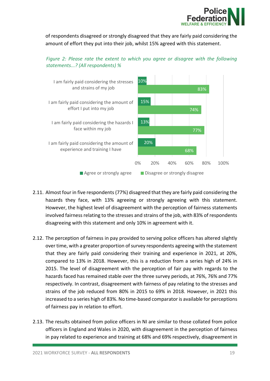

of respondents disagreed or strongly disagreed that they are fairly paid considering the amount of effort they put into their job, whilst 15% agreed with this statement.



## *Figure 2: Please rate the extent to which you agree or disagree with the following statements...? (All respondents) %*

- 2.11. Almost four in five respondents (77%) disagreed that they are fairly paid considering the hazards they face, with 13% agreeing or strongly agreeing with this statement. However, the highest level of disagreement with the perception of fairness statements involved fairness relating to the stresses and strains of the job, with 83% of respondents disagreeing with this statement and only 10% in agreement with it.
- 2.12. The perception of fairness in pay provided to serving police officers has altered slightly over time, with a greater proportion of survey respondents agreeing with the statement that they are fairly paid considering their training and experience in 2021, at 20%, compared to 13% in 2018. However, this is a reduction from a series high of 24% in 2015. The level of disagreement with the perception of fair pay with regards to the hazards faced has remained stable over the three survey periods, at 76%, 76% and 77% respectively. In contrast, disagreement with fairness of pay relating to the stresses and strains of the job reduced from 80% in 2015 to 69% in 2018. However, in 2021 this increased to a series high of 83%. No time-based comparator is available for perceptions of fairness pay in relation to effort.
- 2.13. The results obtained from police officers in NI are similar to those collated from police officers in England and Wales in 2020, with disagreement in the perception of fairness in pay related to experience and training at 68% and 69% respectively, disagreement in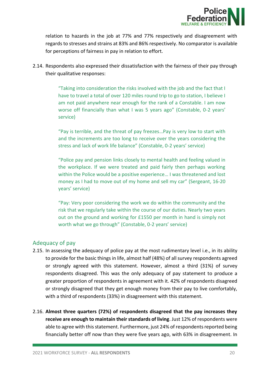

relation to hazards in the job at 77% and 77% respectively and disagreement with regards to stresses and strains at 83% and 86% respectively. No comparator is available for perceptions of fairness in pay in relation to effort.

2.14. Respondents also expressed their dissatisfaction with the fairness of their pay through their qualitative responses:

> "Taking into consideration the risks involved with the job and the fact that I have to travel a total of over 120 miles round trip to go to station, I believe I am not paid anywhere near enough for the rank of a Constable. I am now worse off financially than what I was 5 years ago" (Constable, 0-2 years' service)

> "Pay is terrible, and the threat of pay freezes…Pay is very low to start with and the increments are too long to receive over the years considering the stress and lack of work life balance" (Constable, 0-2 years' service)

> "Police pay and pension links closely to mental health and feeling valued in the workplace. If we were treated and paid fairly then perhaps working within the Police would be a positive experience… I was threatened and lost money as I had to move out of my home and sell my car" (Sergeant, 16-20 years' service)

> "Pay: Very poor considering the work we do within the community and the risk that we regularly take within the course of our duties. Nearly two years out on the ground and working for £1550 per month in hand is simply not worth what we go through" (Constable, 0-2 years' service)

## <span id="page-20-0"></span>Adequacy of pay

- 2.15. In assessing the adequacy of police pay at the most rudimentary level i.e., in its ability to provide for the basic things in life, almost half (48%) of all survey respondents agreed or strongly agreed with this statement. However, almost a third (31%) of survey respondents disagreed. This was the only adequacy of pay statement to produce a greater proportion of respondents in agreement with it. 42% of respondents disagreed or strongly disagreed that they get enough money from their pay to live comfortably, with a third of respondents (33%) in disagreement with this statement.
- 2.16. **Almost three quarters (72%) of respondents disagreed that the pay increases they receive are enough to maintain their standards of living**. Just 12% of respondents were able to agree with this statement. Furthermore, just 24% of respondents reported being financially better off now than they were five years ago, with 63% in disagreement. In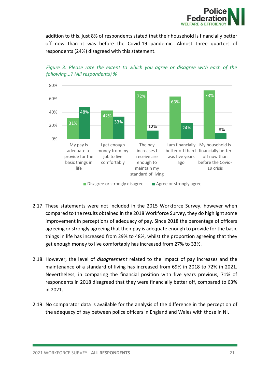

addition to this, just 8% of respondents stated that their household is financially better off now than it was before the Covid-19 pandemic. Almost three quarters of respondents (24%) disagreed with this statement.





- 2.17. These statements were not included in the 2015 Workforce Survey, however when compared to the results obtained in the 2018 Workforce Survey, they do highlight some improvement in perceptions of adequacy of pay. Since 2018 the percentage of officers agreeing or strongly agreeing that their pay is adequate enough to provide for the basic things in life has increased from 29% to 48%, whilst the proportion agreeing that they get enough money to live comfortably has increased from 27% to 33%.
- 2.18. However, the level of *disagreement* related to the impact of pay increases and the maintenance of a standard of living has increased from 69% in 2018 to 72% in 2021. Nevertheless, in comparing the financial position with five years previous, 71% of respondents in 2018 disagreed that they were financially better off, compared to 63% in 2021.
- 2.19. No comparator data is available for the analysis of the difference in the perception of the adequacy of pay between police officers in England and Wales with those in NI.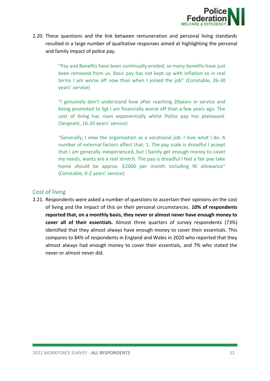

2.20. These questions and the link between remuneration and personal living standards resulted in a large number of qualitative responses aimed at highlighting the personal and family impact of police pay.

> "Pay and Benefits have been continually eroded, so many benefits have just been removed from us. Basic pay has not kept up with inflation so in real terms I am worse off now than when I joined the job" (Constable, 26-30 years' service)

> "I genuinely don't understand how after reaching 20years in service and being promoted to Sgt I am financially worse off than a few years ago. The cost of living has risen exponentially whilst Police pay has plateaued. (Sergeant, 16-20 years' service)

> "Generally, I view the organisation as a vocational job. I love what I do. A number of external factors affect that: 1. The pay scale is dreadful I accept that I am generally inexperienced, but I barely get enough money to cover my needs, wants are a real stretch. The pay is dreadful I feel a fair pay take home should be approx. £2000 per month including NI allowance" (Constable, 0-2 years' service)

## <span id="page-22-0"></span>Cost of living

2.21. Respondents were asked a number of questions to ascertain their opinions on the cost of living and the impact of this on their personal circumstances. **10% of respondents reported that, on a monthly basis, they never or almost never have enough money to cover all of their essentials.** Almost three quarters of survey respondents (73%) identified that they almost always have enough money to cover their essentials. This compares to 84% of respondents in England and Wales in 2020 who reported that they almost always had enough money to cover their essentials, and 7% who stated the never or almost never did.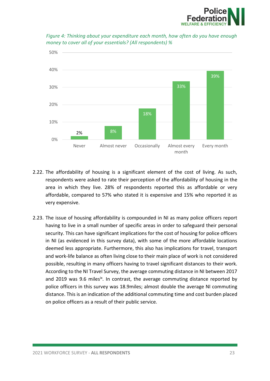



*Figure 4: Thinking about your expenditure each month, how often do you have enough money to cover all of your essentials? (All respondents) %*

- 2.22. The affordability of housing is a significant element of the cost of living. As such, respondents were asked to rate their perception of the affordability of housing in the area in which they live. 28% of respondents reported this as affordable or very affordable, compared to 57% who stated it is expensive and 15% who reported it as very expensive.
- 2.23. The issue of housing affordability is compounded in NI as many police officers report having to live in a small number of specific areas in order to safeguard their personal security. This can have significant implications for the cost of housing for police officers in NI (as evidenced in this survey data), with some of the more affordable locations deemed less appropriate. Furthermore, this also has implications for travel, transport and work-life balance as often living close to their main place of work is not considered possible, resulting in many officers having to travel significant distances to their work. According to the NI Travel Survey, the average commuting distance in NI between 2017 and 2019 was 9.6 miles<sup>ix</sup>. In contrast, the average commuting distance reported by police officers in this survey was 18.9miles; almost double the average NI commuting distance. This is an indication of the additional commuting time and cost burden placed on police officers as a result of their public service.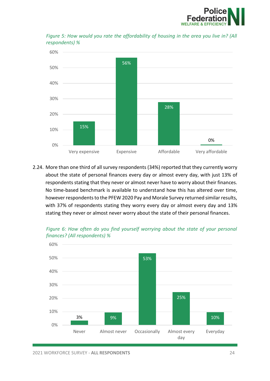



*Figure 5: How would you rate the affordability of housing in the area you live in? (All respondents) %*

2.24. More than one third of all survey respondents (34%) reported that they currently worry about the state of personal finances every day or almost every day, with just 13% of respondents stating that they never or almost never have to worry about their finances. No time-based benchmark is available to understand how this has altered over time, however respondents to the PFEW 2020 Pay and Morale Survey returned similar results, with 37% of respondents stating they worry every day or almost every day and 13% stating they never or almost never worry about the state of their personal finances.



*Figure 6: How often do you find yourself worrying about the state of your personal finances? (All respondents) %*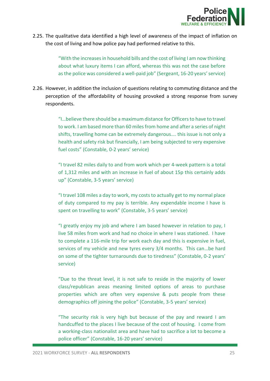

2.25. The qualitative data identified a high level of awareness of the impact of inflation on the cost of living and how police pay had performed relative to this.

> "With the increases in household bills and the cost of living I am now thinking about what luxury items I can afford, whereas this was not the case before as the police was considered a well-paid job" (Sergeant, 16-20 years' service)

2.26. However, in addition the inclusion of questions relating to commuting distance and the perception of the affordability of housing provoked a strong response from survey respondents.

> "I…believe there should be a maximum distance for Officers to have to travel to work. I am based more than 60 miles from home and after a series of night shifts, travelling home can be extremely dangerous…. this issue is not only a health and safety risk but financially, I am being subjected to very expensive fuel costs" (Constable, 0-2 years' service)

> "I travel 82 miles daily to and from work which per 4-week pattern is a total of 1,312 miles and with an increase in fuel of about 15p this certainly adds up" (Constable, 3-5 years' service)

> "I travel 108 miles a day to work, my costs to actually get to my normal place of duty compared to my pay is terrible. Any expendable income I have is spent on travelling to work" (Constable, 3-5 years' service)

> "I greatly enjoy my job and where I am based however in relation to pay, I live 58 miles from work and had no choice in where I was stationed. I have to complete a 116-mile trip for work each day and this is expensive in fuel, services of my vehicle and new tyres every 3/4 months. This can…be hard on some of the tighter turnarounds due to tiredness" (Constable, 0-2 years' service)

> "Due to the threat level, it is not safe to reside in the majority of lower class/republican areas meaning limited options of areas to purchase properties which are often very expensive & puts people from these demographics off joining the police" (Constable, 3-5 years' service)

> "The security risk is very high but because of the pay and reward I am handcuffed to the places I live because of the cost of housing. I come from a working-class nationalist area and have had to sacrifice a lot to become a police officer" (Constable, 16-20 years' service)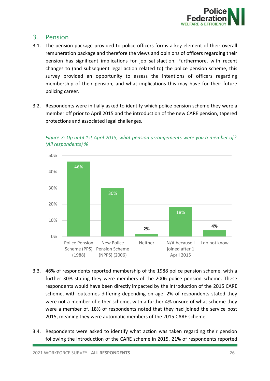

## <span id="page-26-0"></span>3. Pension

- 3.1. The pension package provided to police officers forms a key element of their overall remuneration package and therefore the views and opinions of officers regarding their pension has significant implications for job satisfaction. Furthermore, with recent changes to (and subsequent legal action related to) the police pension scheme, this survey provided an opportunity to assess the intentions of officers regarding membership of their pension, and what implications this may have for their future policing career.
- 3.2. Respondents were initially asked to identify which police pension scheme they were a member off prior to April 2015 and the introduction of the new CARE pension, tapered protections and associated legal challenges.



*Figure 7: Up until 1st April 2015, what pension arrangements were you a member of? (All respondents) %*

- 3.3. 46% of respondents reported membership of the 1988 police pension scheme, with a further 30% stating they were members of the 2006 police pension scheme. These respondents would have been directly impacted by the introduction of the 2015 CARE scheme, with outcomes differing depending on age. 2% of respondents stated they were not a member of either scheme, with a further 4% unsure of what scheme they were a member of. 18% of respondents noted that they had joined the service post 2015, meaning they were automatic members of the 2015 CARE scheme.
- 3.4. Respondents were asked to identify what action was taken regarding their pension following the introduction of the CARE scheme in 2015. 21% of respondents reported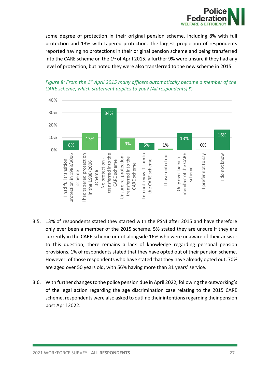

some degree of protection in their original pension scheme, including 8% with full protection and 13% with tapered protection. The largest proportion of respondents reported having no protections in their original pension scheme and being transferred into the CARE scheme on the  $1<sup>st</sup>$  of April 2015, a further 9% were unsure if they had any level of protection, but noted they were also transferred to the new scheme in 2015.





- 3.5. 13% of respondents stated they started with the PSNI after 2015 and have therefore only ever been a member of the 2015 scheme. 5% stated they are unsure if they are currently in the CARE scheme or not alongside 16% who were unaware of their answer to this question; there remains a lack of knowledge regarding personal pension provisions. 1% of respondents stated that they have opted out of their pension scheme. However, of those respondents who have stated that they have already opted out, 70% are aged over 50 years old, with 56% having more than 31 years' service.
- 3.6. With further changes to the police pension due in April 2022, following the outworking's of the legal action regarding the age discrimination case relating to the 2015 CARE scheme, respondents were also asked to outline their intentions regarding their pension post April 2022.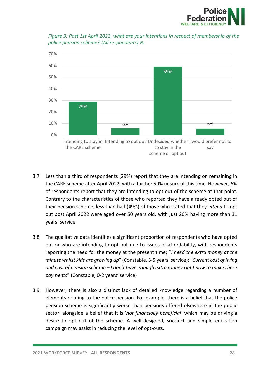



*Figure 9: Post 1st April 2022, what are your intentions in respect of membership of the police pension scheme? (All respondents) %*

- 3.7. Less than a third of respondents (29%) report that they are intending on remaining in the CARE scheme after April 2022, with a further 59% unsure at this time. However, 6% of respondents report that they are intending to opt out of the scheme at that point. Contrary to the characteristics of those who reported they have already opted out of their pension scheme, less than half (49%) of those who stated that they *intend* to opt out post April 2022 were aged over 50 years old, with just 20% having more than 31 years' service.
- 3.8. The qualitative data identifies a significant proportion of respondents who have opted out or who are intending to opt out due to issues of affordability, with respondents reporting the need for the money at the present time; "*I need the extra money at the minute whilst kids are growing up*" (Constable, 3-5 years' service); "*Current cost of living and cost of pension scheme – I don't have enough extra money right now to make these payments*" (Constable, 0-2 years' service)
- 3.9. However, there is also a distinct lack of detailed knowledge regarding a number of elements relating to the police pension. For example, there is a belief that the police pension scheme is significantly worse than pensions offered elsewhere in the public sector, alongside a belief that it is '*not financially beneficial'* which may be driving a desire to opt out of the scheme. A well-designed, succinct and simple education campaign may assist in reducing the level of opt-outs.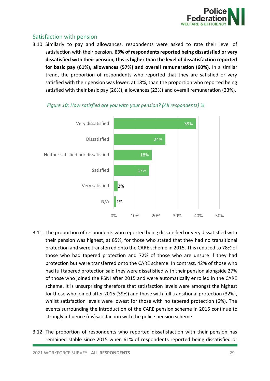

## <span id="page-29-0"></span>Satisfaction with pension

3.10. Similarly to pay and allowances, respondents were asked to rate their level of satisfaction with their pension**. 63% of respondents reported being dissatisfied or very dissatisfied with their pension, this is higher than the level of dissatisfaction reported for basic pay (61%), allowances (57%) and overall remuneration (60%)**. In a similar trend, the proportion of respondents who reported that they are satisfied or very satisfied with their pension was lower, at 18%, than the proportion who reported being satisfied with their basic pay (26%), allowances (23%) and overall remuneration (23%).





- 3.11. The proportion of respondents who reported being dissatisfied or very dissatisfied with their pension was highest, at 85%, for those who stated that they had no transitional protection and were transferred onto the CARE scheme in 2015. This reduced to 78% of those who had tapered protection and 72% of those who are unsure if they had protection but were transferred onto the CARE scheme. In contrast, 42% of those who had full tapered protection said they were dissatisfied with their pension alongside 27% of those who joined the PSNI after 2015 and were automatically enrolled in the CARE scheme. It is unsurprising therefore that satisfaction levels were amongst the highest for those who joined after 2015 (39%) and those with full transitional protection (32%), whilst satisfaction levels were lowest for those with no tapered protection (6%). The events surrounding the introduction of the CARE pension scheme in 2015 continue to strongly influence (dis)satisfaction with the police pension scheme.
- 3.12. The proportion of respondents who reported dissatisfaction with their pension has remained stable since 2015 when 61% of respondents reported being dissatisfied or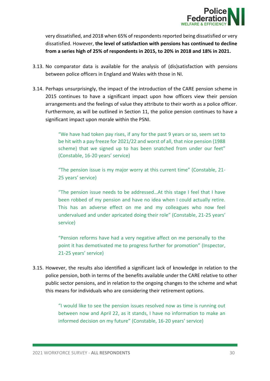

very dissatisfied, and 2018 when 65% of respondents reported being dissatisfied or very dissatisfied. However, **the level of satisfaction with pensions has continued to decline from a series high of 25% of respondents in 2015, to 20% in 2018 and 18% in 2021.**

- 3.13. No comparator data is available for the analysis of (dis)satisfaction with pensions between police officers in England and Wales with those in NI.
- 3.14. Perhaps unsurprisingly, the impact of the introduction of the CARE pension scheme in 2015 continues to have a significant impact upon how officers view their pension arrangements and the feelings of value they attribute to their worth as a police officer. Furthermore, as will be outlined in Section 11, the police pension continues to have a significant impact upon morale within the PSNI.

"We have had token pay rises, if any for the past 9 years or so, seem set to be hit with a pay freeze for 2021/22 and worst of all, that nice pension (1988 scheme) that we signed up to has been snatched from under our feet" (Constable, 16-20 years' service)

"The pension issue is my major worry at this current time" (Constable, 21- 25 years' service)

"The pension issue needs to be addressed…At this stage I feel that I have been robbed of my pension and have no idea when I could actually retire. This has an adverse effect on me and my colleagues who now feel undervalued and under apricated doing their role" (Constable, 21-25 years' service)

"Pension reforms have had a very negative affect on me personally to the point it has demotivated me to progress further for promotion" (Inspector, 21-25 years' service)

3.15. However, the results also identified a significant lack of knowledge in relation to the police pension, both in terms of the benefits available under the CARE relative to other public sector pensions, and in relation to the ongoing changes to the scheme and what this means for individuals who are considering their retirement options.

> "I would like to see the pension issues resolved now as time is running out between now and April 22, as it stands, I have no information to make an informed decision on my future" (Constable, 16-20 years' service)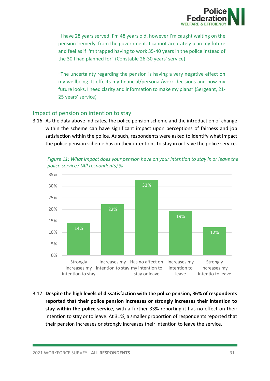

"I have 28 years served, I'm 48 years old, however I'm caught waiting on the pension 'remedy' from the government. I cannot accurately plan my future and feel as if I'm trapped having to work 35-40 years in the police instead of the 30 I had planned for" (Constable 26-30 years' service)

"The uncertainty regarding the pension is having a very negative effect on my wellbeing. It effects my financial/personal/work decisions and how my future looks. I need clarity and information to make my plans" (Sergeant, 21- 25 years' service)

## <span id="page-31-0"></span>Impact of pension on intention to stay

3.16. As the data above indicates, the police pension scheme and the introduction of change within the scheme can have significant impact upon perceptions of fairness and job satisfaction within the police. As such, respondents were asked to identify what impact the police pension scheme has on their intentions to stay in or leave the police service.



*Figure 11: What impact does your pension have on your intention to stay in or leave the police service? (All respondents) %*

3.17. **Despite the high levels of dissatisfaction with the police pension, 36% of respondents reported that their police pension increases or strongly increases their intention to stay within the police service**, with a further 33% reporting it has no effect on their intention to stay or to leave. At 31%, a smaller proportion of respondents reported that their pension increases or strongly increases their intention to leave the service.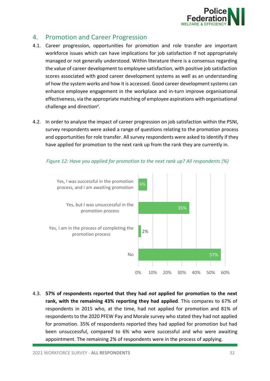

# <span id="page-32-0"></span>4. Promotion and Career Progression

- 4.1. Career progression, opportunities for promotion and role transfer are important workforce issues which can have implications for job satisfaction if not appropriately managed or not generally understood. Within literature there is a consensus regarding the value of career development to employee satisfaction, with positive job satisfaction scores associated with good career development systems as well as an understanding of how the system works and how it is accessed. Good career development systems can enhance employee engagement in the workplace and in-turn improve organisational effectiveness, via the appropriate matching of employee aspirations with organisational challenge and direction<sup>x</sup>.
- 4.2. In order to analyse the impact of career progression on job satisfaction within the PSNI, survey respondents were asked a range of questions relating to the promotion process and opportunities for role transfer. All survey respondents were asked to identify if they have applied for promotion to the next rank up from the rank they are currently in.



## *Figure 12: Have you applied for promotion to the next rank up? All respondents (%)*

4.3. **57% of respondents reported that they had** *not* **applied for promotion to the next rank, with the remaining 43% reporting they had applied**. This compares to 67% of respondents in 2015 who, at the time, had not applied for promotion and 81% of respondents to the 2020 PFEW Pay and Morale survey who stated they had not applied for promotion. 35% of respondents reported they had applied for promotion but had been unsuccessful, compared to 6% who were successful and who were awaiting appointment. The remaining 2% of respondents were in the process of applying.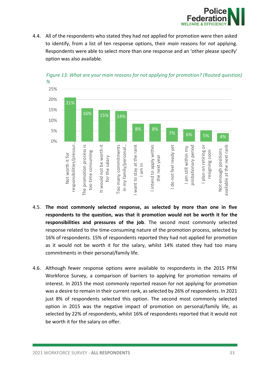

4.4. All of the respondents who stated they had *not* applied for promotion were then asked to identify, from a list of ten response options, their *main* reasons for *not* applying. Respondents were able to select more than one response and an 'other please specify' option was also available.



*Figure 13: What are your main reasons for not applying for promotion? (Routed question) %*

- 4.5. **The most commonly selected response, as selected by more than one in five respondents to the question, was that it promotion would not be worth it for the responsibilities and pressures of the job**. The second most commonly selected response related to the time-consuming nature of the promotion process, selected by 16% of respondents. 15% of respondents reported they had not applied for promotion as it would not be worth it for the salary, whilst 14% stated they had too many commitments in their personal/family life.
- 4.6. Although fewer response options were available to respondents in the 2015 PFNI Workforce Survey, a comparison of barriers to applying for promotion remains of interest. In 2015 the most commonly reported reason for not applying for promotion was a desire to remain in their current rank, as selected by 26% of respondents. In 2021 just 8% of respondents selected this option. The second most commonly selected option in 2015 was the negative impact of promotion on personal/family life, as selected by 22% of respondents, whilst 16% of respondents reported that it would not be worth it for the salary on offer.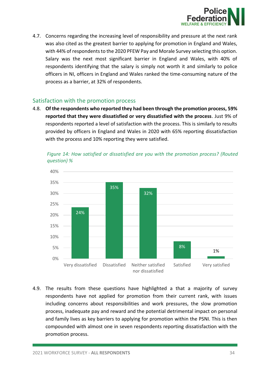

4.7. Concerns regarding the increasing level of responsibility and pressure at the next rank was also cited as the greatest barrier to applying for promotion in England and Wales, with 44% of respondents to the 2020 PFEW Pay and Morale Survey selecting this option. Salary was the next most significant barrier in England and Wales, with 40% of respondents identifying that the salary is simply not worth it and similarly to police officers in NI, officers in England and Wales ranked the time-consuming nature of the process as a barrier, at 32% of respondents.

## <span id="page-34-0"></span>Satisfaction with the promotion process

4.8. **Of the respondents who reported they had been through the promotion process, 59% reported that they were dissatisfied or very dissatisfied with the process**. Just 9% of respondents reported a level of satisfaction with the process. This is similarly to results provided by officers in England and Wales in 2020 with 65% reporting dissatisfaction with the process and 10% reporting they were satisfied.



*Figure 14: How satisfied or dissatisfied are you with the promotion process? (Routed question) %*

4.9. The results from these questions have highlighted a that a majority of survey respondents have not applied for promotion from their current rank, with issues including concerns about responsibilities and work pressures, the slow promotion process, inadequate pay and reward and the potential detrimental impact on personal and family lives as key barriers to applying for promotion within the PSNI. This is then compounded with almost one in seven respondents reporting dissatisfaction with the promotion process.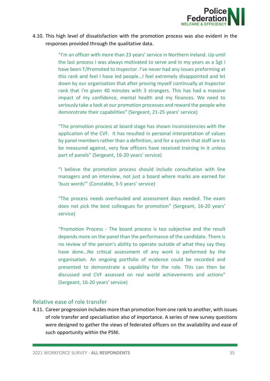

4.10. This high level of dissatisfaction with the promotion process was also evident in the responses provided through the qualitative data.

> "I'm an officer with more than 23 years' service in Northern Ireland. Up until the last process I was always motivated to serve and in my years as a Sgt I have been T/Promoted to Inspector. I've never had any issues preforming at this rank and feel I have led people…I feel extremely disappointed and let down by our organisation that after proving myself continually at Inspector rank that I'm given 40 minutes with 3 strangers. This has had a massive impact of my confidence, mental health and my finances. We need to seriously take a look at our promotion processes and reward the people who demonstrate their capabilities" (Sergeant, 21-25 years' service)

> "The promotion process at board stage has shown inconsistencies with the application of the CVF. It has resulted in personal interpretation of values by panel members rather than a definition, and for a system that staff are to be measured against, very few officers have received training in it unless part of panels" (Sergeant, 16-20 years' service)

> "I believe the promotion process should include consultation with line managers and an interview, not just a board where marks are earned for 'buzz words'" (Constable, 3-5 years' service)

> "The process needs overhauled and assessment days needed. The exam does not pick the best colleagues for promotion" (Sergeant, 16-20 years' service)

> "Promotion Process - The board process is too subjective and the result depends more on the panel than the performance of the candidate. There is no review of the person's ability to operate outside of what they say they have done…No critical assessment of any work is performed by the organisation. An ongoing portfolio of evidence could be recorded and presented to demonstrate a capability for the role. This can then be discussed and CVF assessed on real world achievements and actions" (Sergeant, 16-20 years' service)

## <span id="page-35-0"></span>Relative ease of role transfer

4.11. Career progression includes more than promotion from one rank to another, with issues of role transfer and specialisation also of importance. A series of new survey questions were designed to gather the views of federated officers on the availability and ease of such opportunity within the PSNI.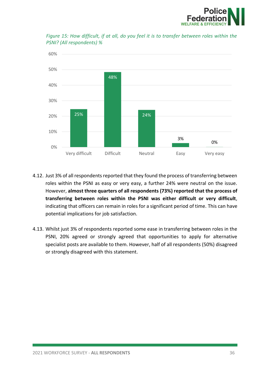



*Figure 15: How difficult, if at all, do you feel it is to transfer between roles within the PSNI? (All respondents) %*

- 4.12. Just 3% of all respondents reported that they found the process of transferring between roles within the PSNI as easy or very easy, a further 24% were neutral on the issue. However, **almost three quarters of all respondents (73%) reported that the process of transferring between roles within the PSNI was either difficult or very difficult**, indicating that officers can remain in roles for a significant period of time. This can have potential implications for job satisfaction.
- 4.13. Whilst just 3% of respondents reported some ease in transferring between roles in the PSNI, 20% agreed or strongly agreed that opportunities to apply for alternative specialist posts are available to them. However, half of all respondents (50%) disagreed or strongly disagreed with this statement.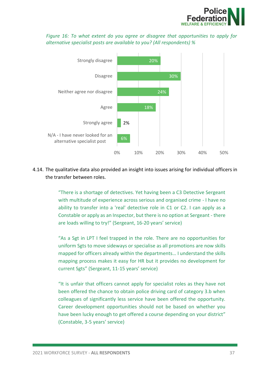

*Figure 16: To what extent do you agree or disagree that opportunities to apply for alternative specialist posts are available to you? (All respondents) %*



### 4.14. The qualitative data also provided an insight into issues arising for individual officers in the transfer between roles.

"There is a shortage of detectives. Yet having been a C3 Detective Sergeant with multitude of experience across serious and organised crime - I have no ability to transfer into a 'real' detective role in C1 or C2. I can apply as a Constable or apply as an Inspector, but there is no option at Sergeant - there are loads willing to try!" (Sergeant, 16-20 years' service)

"As a Sgt in LPT I feel trapped in the role. There are no opportunities for uniform Sgts to move sideways or specialise as all promotions are now skills mapped for officers already within the departments… I understand the skills mapping process makes it easy for HR but it provides no development for current Sgts" (Sergeant, 11-15 years' service)

"It is unfair that officers cannot apply for specialist roles as they have not been offered the chance to obtain police driving card of category 3.b when colleagues of significantly less service have been offered the opportunity. Career development opportunities should not be based on whether you have been lucky enough to get offered a course depending on your district" (Constable, 3-5 years' service)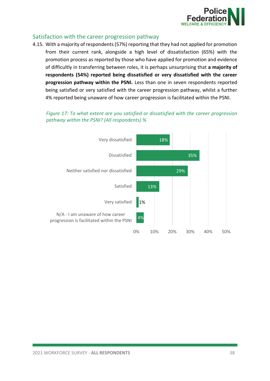

## Satisfaction with the career progression pathway

4.15. With a majority of respondents (57%) reporting that they had not applied for promotion from their current rank, alongside a high level of dissatisfaction (65%) with the promotion process as reported by those who have applied for promotion and evidence of difficultly in transferring between roles, it is perhaps unsurprising that **a majority of respondents (54%) reported being dissatisfied or very dissatisfied with the career progression pathway within the PSNI.** Less than one in seven respondents reported being satisfied or very satisfied with the career progression pathway, whilst a further 4% reported being unaware of how career progression is facilitated within the PSNI.

*Figure 17: To what extent are you satisfied or dissatisfied with the career progression pathway within the PSNI? (All respondents) %*

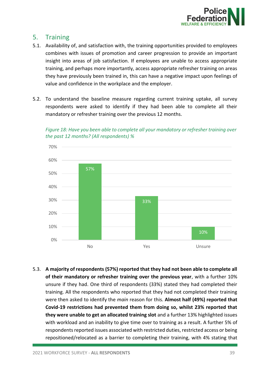

## 5. Training

- 5.1. Availability of, and satisfaction with, the training opportunities provided to employees combines with issues of promotion and career progression to provide an important insight into areas of job satisfaction. If employees are unable to access appropriate training, and perhaps more importantly, access appropriate refresher training on areas they have previously been trained in, this can have a negative impact upon feelings of value and confidence in the workplace and the employer.
- 5.2. To understand the baseline measure regarding current training uptake, all survey respondents were asked to identify if they had been able to complete all their mandatory or refresher training over the previous 12 months.

*Figure 18: Have you been able to complete all your mandatory or refresher training over the past 12 months? (All respondents) %*



5.3. **A majority of respondents (57%) reported that they had not been able to complete all of their mandatory or refresher training over the previous year**, with a further 10% unsure if they had. One third of respondents (33%) stated they had completed their training. All the respondents who reported that they had not completed their training were then asked to identify the *main* reason for this. **Almost half (49%) reported that Covid-19 restrictions had prevented them from doing so, whilst 23% reported that they were unable to get an allocated training slot** and a further 13% highlighted issues with workload and an inability to give time over to training as a result. A further 5% of respondents reported issues associated with restricted duties, restricted access or being repositioned/relocated as a barrier to completing their training, with 4% stating that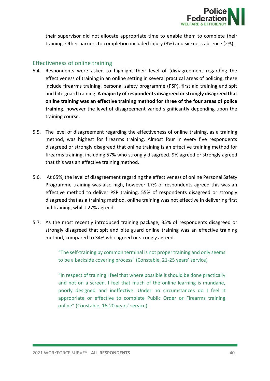

their supervisor did not allocate appropriate time to enable them to complete their training. Other barriers to completion included injury (3%) and sickness absence (2%).

### Effectiveness of online training

- 5.4. Respondents were asked to highlight their level of (dis)agreement regarding the effectiveness of training in an online setting in several practical areas of policing, these include firearms training, personal safety programme (PSP), first aid training and spit and bite guard training. **A majority of respondents disagreed or strongly disagreed that online training was an effective training method for three of the four areas of police training**, however the level of disagreement varied significantly depending upon the training course.
- 5.5. The level of disagreement regarding the effectiveness of online training, as a training method, was highest for firearms training. Almost four in every five respondents disagreed or strongly disagreed that online training is an effective training method for firearms training, including 57% who strongly disagreed. 9% agreed or strongly agreed that this was an effective training method.
- 5.6. At 65%, the level of disagreement regarding the effectiveness of online Personal Safety Programme training was also high, however 17% of respondents agreed this was an effective method to deliver PSP training. 55% of respondents disagreed or strongly disagreed that as a training method, online training was not effective in delivering first aid training, whilst 27% agreed.
- 5.7. As the most recently introduced training package, 35% of respondents disagreed or strongly disagreed that spit and bite guard online training was an effective training method, compared to 34% who agreed or strongly agreed.

"The self-training by common terminal is not proper training and only seems to be a backside covering process" (Constable, 21-25 years' service)

"In respect of training I feel that where possible it should be done practically and not on a screen. I feel that much of the online learning is mundane, poorly designed and ineffective. Under no circumstances do I feel it appropriate or effective to complete Public Order or Firearms training online" (Constable, 16-20 years' service)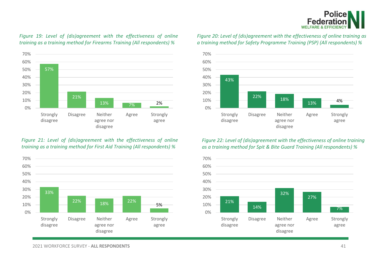

*Figure 19: Level of (dis)agreement with the effectiveness of online training as a training method for Firearms Training (All respondents) %*



#### *Figure 21: Level of (dis)agreement with the effectiveness of online training as a training method for First Aid Training (All respondents) %*



*Figure 20: Level of (dis)agreement with the effectiveness of online training as a training method for Safety Programme Training (PSP) (All respondents) %*



### *Figure 22: Level of (dis)agreement with the effectiveness of online training as a training method for Spit & Bite Guard Training (All respondents) %*

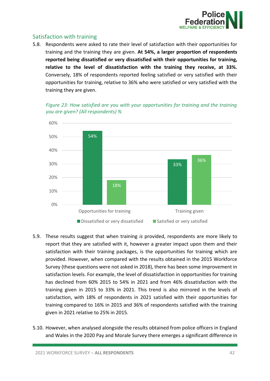

## Satisfaction with training

5.8. Respondents were asked to rate their level of satisfaction with their opportunities for training and the training they are given. **At 54%, a larger proportion of respondents reported being dissatisfied or very dissatisfied with their opportunities for training, relative to the level of dissatisfaction with the training they receive, at 33%.** Conversely, 18% of respondents reported feeling satisfied or very satisfied with their opportunities for training, relative to 36% who were satisfied or very satisfied with the training they are given.

*Figure 23: How satisfied are you with your opportunities for training and the training you are given? (All respondents) %*



- 5.9. These results suggest that when training *is* provided, respondents are more likely to report that they are satisfied with it, however a greater impact upon them and their satisfaction with their training packages, is the opportunities for training which are provided. However, when compared with the results obtained in the 2015 Workforce Survey (these questions were not asked in 2018), there has been some improvement in satisfaction levels. For example, the level of dissatisfaction in opportunities for training has declined from 60% 2015 to 54% in 2021 and from 46% dissatisfaction with the training given in 2015 to 33% in 2021. This trend is also mirrored in the levels of satisfaction, with 18% of respondents in 2021 satisfied with their opportunities for training compared to 16% in 2015 and 36% of respondents satisfied with the training given in 2021 relative to 25% in 2015.
- 5.10. However, when analysed alongside the results obtained from police officers in England and Wales in the 2020 Pay and Morale Survey there emerges a significant difference in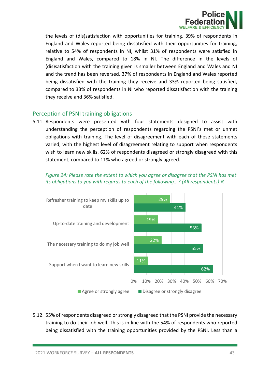

the levels of (dis)satisfaction with opportunities for training. 39% of respondents in England and Wales reported being dissatisfied with their opportunities for training, relative to 54% of respondents in NI, whilst 31% of respondents were satisfied in England and Wales, compared to 18% in NI. The difference in the levels of (dis)satisfaction with the training given is smaller between England and Wales and NI and the trend has been reversed. 37% of respondents in England and Wales reported being dissatisfied with the training they receive and 33% reported being satisfied, compared to 33% of respondents in NI who reported dissatisfaction with the training they receive and 36% satisfied.

#### Perception of PSNI training obligations

5.11. Respondents were presented with four statements designed to assist with understanding the perception of respondents regarding the PSNI's met or unmet obligations with training. The level of disagreement with each of these statements varied, with the highest level of disagreement relating to support when respondents wish to learn new skills. 62% of respondents disagreed or strongly disagreed with this statement, compared to 11% who agreed or strongly agreed.



*Figure 24: Please rate the extent to which you agree or disagree that the PSNI has met its obligations to you with regards to each of the following...? (All respondents) %*

5.12. 55% of respondents disagreed or strongly disagreed that the PSNI provide the necessary training to do their job well. This is in line with the 54% of respondents who reported being dissatisfied with the training opportunities provided by the PSNI. Less than a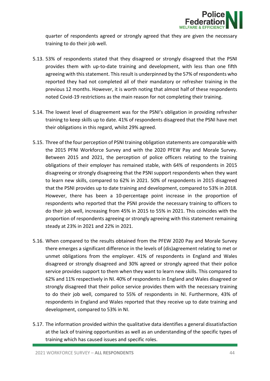

quarter of respondents agreed or strongly agreed that they are given the necessary training to do their job well.

- 5.13. 53% of respondents stated that they disagreed or strongly disagreed that the PSNI provides them with up-to-date training and development, with less than one fifth agreeing with this statement. This result is underpinned by the 57% of respondents who reported they had not completed all of their mandatory or refresher training in the previous 12 months. However, it is worth noting that almost half of these respondents noted Covid-19 restrictions as the main reason for not completing their training.
- 5.14. The lowest level of disagreement was for the PSNI's obligation in providing refresher training to keep skills up to date. 41% of respondents disagreed that the PSNI have met their obligations in this regard, whilst 29% agreed.
- 5.15. Three of the four perception of PSNI training obligation statements are comparable with the 2015 PFNI Workforce Survey and with the 2020 PFEW Pay and Morale Survey. Between 2015 and 2021, the perception of police officers relating to the training obligations of their employer has remained stable, with 64% of respondents in 2015 disagreeing or strongly disagreeing that the PSNI support respondents when they want to learn new skills, compared to 62% in 2021. 50% of respondents in 2015 disagreed that the PSNI provides up to date training and development, compared to 53% in 2018. However, there has been a 10-percentage point increase in the proportion of respondents who reported that the PSNI provide the necessary training to officers to do their job well, increasing from 45% in 2015 to 55% in 2021. This coincides with the proportion of respondents agreeing or strongly agreeing with this statement remaining steady at 23% in 2021 and 22% in 2021.
- 5.16. When compared to the results obtained from the PFEW 2020 Pay and Morale Survey there emerges a significant difference in the levels of (dis)agreement relating to met or unmet obligations from the employer. 41% of respondents in England and Wales disagreed or strongly disagreed and 30% agreed or strongly agreed that their police service provides support to them when they want to learn new skills. This compared to 62% and 11% respectively in NI. 40% of respondents in England and Wales disagreed or strongly disagreed that their police service provides them with the necessary training to do their job well, compared to 55% of respondents in NI. Furthermore, 43% of respondents in England and Wales reported that they receive up to date training and development, compared to 53% in NI.
- 5.17. The information provided within the qualitative data identifies a general dissatisfaction at the lack of training opportunities as well as an understanding of the specific types of training which has caused issues and specific roles.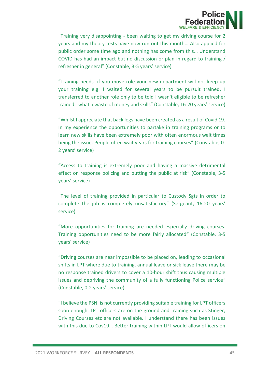

"Training very disappointing - been waiting to get my driving course for 2 years and my theory tests have now run out this month… Also applied for public order some time ago and nothing has come from this… Understand COVID has had an impact but no discussion or plan in regard to training / refresher in general" (Constable, 3-5 years' service)

"Training needs- if you move role your new department will not keep up your training e.g. I waited for several years to be pursuit trained, I transferred to another role only to be told I wasn't eligible to be refresher trained - what a waste of money and skills" (Constable, 16-20 years' service)

"Whilst I appreciate that back logs have been created as a result of Covid 19. In my experience the opportunities to partake in training programs or to learn new skills have been extremely poor with often enormous wait times being the issue. People often wait years for training courses" (Constable, 0- 2 years' service)

"Access to training is extremely poor and having a massive detrimental effect on response policing and putting the public at risk" (Constable, 3-5 years' service)

"The level of training provided in particular to Custody Sgts in order to complete the job is completely unsatisfactory" (Sergeant, 16-20 years' service)

"More opportunities for training are needed especially driving courses. Training opportunities need to be more fairly allocated" (Constable, 3-5 years' service)

"Driving courses are near impossible to be placed on, leading to occasional shifts in LPT where due to training, annual leave or sick leave there may be no response trained drivers to cover a 10-hour shift thus causing multiple issues and depriving the community of a fully functioning Police service" (Constable, 0-2 years' service)

"I believe the PSNI is not currently providing suitable training for LPT officers soon enough. LPT officers are on the ground and training such as Stinger, Driving Courses etc are not available. I understand there has been issues with this due to Cov19… Better training within LPT would allow officers on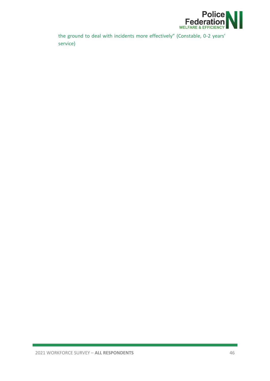

the ground to deal with incidents more effectively" (Constable, 0-2 years' service)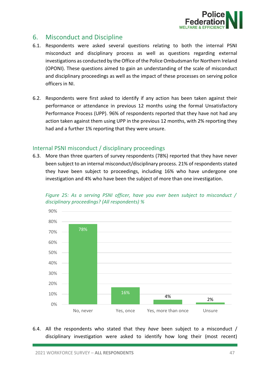

# 6. Misconduct and Discipline

- 6.1. Respondents were asked several questions relating to both the internal PSNI misconduct and disciplinary process as well as questions regarding external investigations as conducted by the Office of the Police Ombudsman for Northern Ireland (OPONI). These questions aimed to gain an understanding of the scale of misconduct and disciplinary proceedings as well as the impact of these processes on serving police officers in NI.
- 6.2. Respondents were first asked to identify if any action has been taken against their performance or attendance in previous 12 months using the formal Unsatisfactory Performance Process (UPP). 96% of respondents reported that they have not had any action taken against them using UPP in the previous 12 months, with 2% reporting they had and a further 1% reporting that they were unsure.

#### Internal PSNI misconduct / disciplinary proceedings

6.3. More than three quarters of survey respondents (78%) reported that they have never been subject to an internal misconduct/disciplinary process. 21% of respondents stated they have been subject to proceedings, including 16% who have undergone one investigation and 4% who have been the subject of more than one investigation.

*Figure 25: As a serving PSNI officer, have you ever been subject to misconduct / disciplinary proceedings? (All respondents) %*



6.4. All the respondents who stated that they *have* been subject to a misconduct / disciplinary investigation were asked to identify how long their (most recent)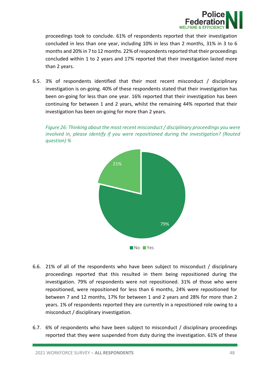

proceedings took to conclude. 61% of respondents reported that their investigation concluded in less than one year, including 10% in less than 2 months, 31% in 3 to 6 months and 20% in 7 to 12 months. 22% of respondents reported that their proceedings concluded within 1 to 2 years and 17% reported that their investigation lasted more than 2 years.

6.5. 3% of respondents identified that their most recent misconduct / disciplinary investigation is on-going. 40% of these respondents stated that their investigation has been on-going for less than one year. 16% reported that their investigation has been continuing for between 1 and 2 years, whilst the remaining 44% reported that their investigation has been on-going for more than 2 years.

*Figure 26: Thinking about the most recent misconduct / disciplinary proceedings you were involved in, please identify if you were repositioned during the investigation? (Routed question) %*



- 6.6. 21% of all of the respondents who have been subject to misconduct / disciplinary proceedings reported that this resulted in them being repositioned during the investigation. 79% of respondents were not repositioned. 31% of those who were repositioned, were repositioned for less than 6 months, 24% were repositioned for between 7 and 12 months, 17% for between 1 and 2 years and 28% for more than 2 years. 1% of respondents reported they are currently in a repositioned role owing to a misconduct / disciplinary investigation.
- 6.7. 6% of respondents who have been subject to misconduct / disciplinary proceedings reported that they were suspended from duty during the investigation. 61% of these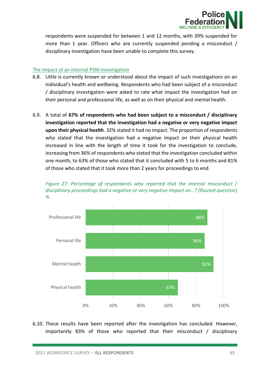

respondents were suspended for between 1 and 12 months, with 39% suspended for more than 1 year. Officers who are currently suspended pending a misconduct / disciplinary investigation have been unable to complete this survey.

#### The impact of an internal PSNI investigation

- 6.8. Little is currently known or understood about the impact of such investigations on an individual's health and wellbeing. Respondents who had been subject of a misconduct / disciplinary investigation were asked to rate what impact the investigation had on their personal and professional life, as well as on their physical and mental health.
- 6.9. A total of **67% of respondents who had been subject to a misconduct / disciplinary investigation reported that the investigation had a negative or very negative impact upon their physical health**. 32% stated it had no impact. The proportion of respondents who stated that the investigation had a negative impact on their physical health increased in line with the length of time it took for the investigation to conclude, increasing from 36% of respondents who stated that the investigation concluded within one month, to 63% of those who stated that it concluded with 5 to 6 months and 81% of those who stated that it took more than 2 years for proceedings to end.





6.10. These results have been reported after the investigation has concluded. However, importantly 83% of those who reported that their misconduct / disciplinary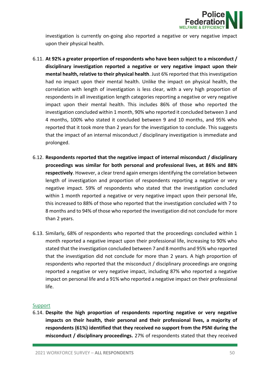

investigation is currently on-going also reported a negative or very negative impact upon their physical health.

- 6.11. **At 92% a greater proportion of respondents who have been subject to a misconduct / disciplinary investigation reported a negative or very negative impact upon their mental health, relative to their physical health**. Just 6% reported that this investigation had no impact upon their mental health. Unlike the impact on physical health, the correlation with length of investigation is less clear, with a very high proportion of respondents in all investigation length categories reporting a negative or very negative impact upon their mental health. This includes 86% of those who reported the investigation concluded within 1 month, 90% who reported it concluded between 3 and 4 months, 100% who stated it concluded between 9 and 10 months, and 95% who reported that it took more than 2 years for the investigation to conclude. This suggests that the impact of an internal misconduct / disciplinary investigation is immediate and prolonged.
- 6.12. **Respondents reported that the negative impact of internal misconduct / disciplinary proceedings was similar for both personal and professional lives, at 86% and 88% respectively**. However, a clear trend again emerges identifying the correlation between length of investigation and proportion of respondents reporting a negative or very negative impact. 59% of respondents who stated that the investigation concluded within 1 month reported a negative or very negative impact upon their personal life, this increased to 88% of those who reported that the investigation concluded with 7 to 8 months and to 94% of those who reported the investigation did not conclude for more than 2 years.
- 6.13. Similarly, 68% of respondents who reported that the proceedings concluded within 1 month reported a negative impact upon their professional life, increasing to 90% who stated that the investigation concluded between 7 and 8 months and 95% who reported that the investigation did not conclude for more than 2 years. A high proportion of respondents who reported that the misconduct / disciplinary proceedings are ongoing reported a negative or very negative impact, including 87% who reported a negative impact on personal life and a 91% who reported a negative impact on their professional life.

#### Support

6.14. **Despite the high proportion of respondents reporting negative or very negative impacts on their health, their personal and their professional lives, a majority of respondents (61%) identified that they received no support from the PSNI during the misconduct / disciplinary proceedings.** 27% of respondents stated that they received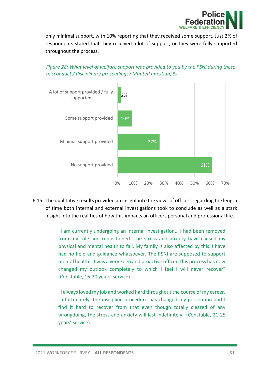

only minimal support, with 10% reporting that they received some support. Just 2% of respondents stated that they received a lot of support, or they were fully supported throughout the process.

## *Figure 28: What level of welfare support was provided to you by the PSNI during these misconduct / disciplinary proceedings? (Routed question) %*



6.15. The qualitative results provided an insight into the views of officers regarding the length of time both internal and external investigations took to conclude as well as a stark insight into the realities of how this impacts an officers personal and professional life.

> "I am currently undergoing an internal investigation… I had been removed from my role and repositioned. The stress and anxiety have caused my physical and mental health to fall. My family is also affected by this. I have had no help and guidance whatsoever. The PSNI are supposed to support mental health… I was a very keen and proactive officer, this process has now changed my outlook completely to which I feel I will never recover" (Constable, 16-20 years' service)

> "I always loved my job and worked hard throughout the course of my career. Unfortunately, the discipline procedure has changed my perception and I find it hard to recover from that even though totally cleared of any wrongdoing, the stress and anxiety will last indefinitely" (Constable, 21-25 years' service)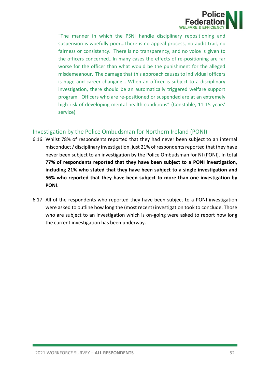

"The manner in which the PSNI handle disciplinary repositioning and suspension is woefully poor…There is no appeal process, no audit trail, no fairness or consistency. There is no transparency, and no voice is given to the officers concerned…In many cases the effects of re-positioning are far worse for the officer than what would be the punishment for the alleged misdemeanour. The damage that this approach causes to individual officers is huge and career changing… When an officer is subject to a disciplinary investigation, there should be an automatically triggered welfare support program. Officers who are re-positioned or suspended are at an extremely high risk of developing mental health conditions" (Constable, 11-15 years' service)

## Investigation by the Police Ombudsman for Northern Ireland (PONI)

- 6.16. Whilst 78% of respondents reported that they had never been subject to an internal misconduct / disciplinary investigation, just 21% of respondents reported that they have never been subject to an investigation by the Police Ombudsman for NI (PONI). In total **77% of respondents reported that they have been subject to a PONI investigation, including 21% who stated that they have been subject to a single investigation and 56% who reported that they have been subject to more than one investigation by PONI**.
- 6.17. All of the respondents who reported they have been subject to a PONI investigation were asked to outline how long the (most recent) investigation took to conclude. Those who are subject to an investigation which is on-going were asked to report how long the current investigation has been underway.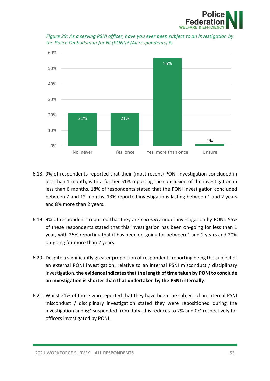



*Figure 29: As a serving PSNI officer, have you ever been subject to an investigation by the Police Ombudsman for NI (PONI)? (All respondents) %*

- 6.18. 9% of respondents reported that their (most recent) PONI investigation concluded in less than 1 month, with a further 51% reporting the conclusion of the investigation in less than 6 months. 18% of respondents stated that the PONI investigation concluded between 7 and 12 months. 13% reported investigations lasting between 1 and 2 years and 8% more than 2 years.
- 6.19. 9% of respondents reported that they are *currently* under investigation by PONI. 55% of these respondents stated that this investigation has been on-going for less than 1 year, with 25% reporting that it has been on-going for between 1 and 2 years and 20% on-going for more than 2 years.
- 6.20. Despite a significantly greater proportion of respondents reporting being the subject of an external PONI investigation, relative to an internal PSNI misconduct / disciplinary investigation, **the evidence indicatesthat the length of time taken by PONI to conclude an investigation is shorter than that undertaken by the PSNI internally**.
- 6.21. Whilst 21% of those who reported that they have been the subject of an internal PSNI misconduct / disciplinary investigation stated they were repositioned during the investigation and 6% suspended from duty, this reduces to 2% and 0% respectively for officers investigated by PONI.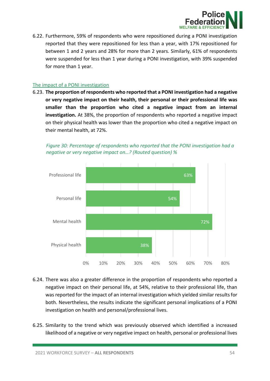

6.22. Furthermore, 59% of respondents who were repositioned during a PONI investigation reported that they were repositioned for less than a year, with 17% repositioned for between 1 and 2 years and 28% for more than 2 years. Similarly, 61% of respondents were suspended for less than 1 year during a PONI investigation, with 39% suspended for more than 1 year.

#### The impact of a PONI investigation

6.23. **The proportion of respondents who reported that a PONI investigation had a negative or very negative impact on their health, their personal or their professional life was smaller than the proportion who cited a negative impact from an internal investigation.** At 38%, the proportion of respondents who reported a negative impact on their physical health was lower than the proportion who cited a negative impact on their mental health, at 72%.



*Figure 30: Percentage of respondents who reported that the PONI investigation had a negative or very negative impact on…? (Routed question) %*

- 6.24. There was also a greater difference in the proportion of respondents who reported a negative impact on their personal life, at 54%, relative to their professional life, than was reported for the impact of an internal investigation which yielded similar results for both. Nevertheless, the results indicate the significant personal implications of a PONI investigation on health and personal/professional lives.
- 6.25. Similarity to the trend which was previously observed which identified a increased likelihood of a negative or very negative impact on health, personal or professional lives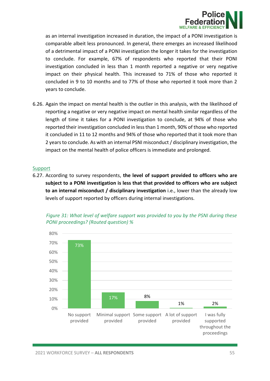

as an internal investigation increased in duration, the impact of a PONI investigation is comparable albeit less pronounced. In general, there emerges an increased likelihood of a detrimental impact of a PONI investigation the longer it takes for the investigation to conclude. For example, 67% of respondents who reported that their PONI investigation concluded in less than 1 month reported a negative or very negative impact on their physical health. This increased to 71% of those who reported it concluded in 9 to 10 months and to 77% of those who reported it took more than 2 years to conclude.

6.26. Again the impact on mental health is the outlier in this analysis, with the likelihood of reporting a negative or very negative impact on mental health similar regardless of the length of time it takes for a PONI investigation to conclude, at 94% of those who reported their investigation concluded in less than 1 month, 90% of those who reported it concluded in 11 to 12 months and 94% of those who reported that it took more than 2 years to conclude. As with an internal PSNI misconduct / disciplinary investigation, the impact on the mental health of police officers is immediate and prolonged.

#### Support

6.27. According to survey respondents, **the level of support provided to officers who are subject to a PONI investigation is less that that provided to officers who are subject to an internal misconduct / disciplinary investigation** i.e., lower than the already low levels of support reported by officers during internal investigations.



*Figure 31: What level of welfare support was provided to you by the PSNI during these PONI proceedings? (Routed question) %*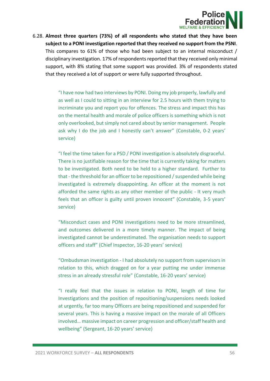

6.28. **Almost three quarters (73%) of all respondents who stated that they have been subject to a PONI investigation reported that they received no support from the PSNI**. This compares to 61% of those who had been subject to an internal misconduct / disciplinary investigation. 17% of respondents reported that they received only minimal support, with 8% stating that some support was provided. 3% of respondents stated that they received a lot of support or were fully supported throughout.

> "I have now had two interviews by PONI. Doing my job properly, lawfully and as well as I could to sitting in an interview for 2.5 hours with them trying to incriminate you and report you for offences. The stress and impact this has on the mental health and morale of police officers is something which is not only overlooked, but simply not cared about by senior management. People ask why I do the job and I honestly can't answer" (Constable, 0-2 years' service)

> "I feel the time taken for a PSD / PONI investigation is absolutely disgraceful. There is no justifiable reason for the time that is currently taking for matters to be investigated. Both need to be held to a higher standard. Further to that - the threshold for an officer to be repositioned / suspended while being investigated is extremely disappointing. An officer at the moment is not afforded the same rights as any other member of the public - It very much feels that an officer is guilty until proven innocent" (Constable, 3-5 years' service)

> "Misconduct cases and PONI investigations need to be more streamlined, and outcomes delivered in a more timely manner. The impact of being investigated cannot be underestimated. The organisation needs to support officers and staff" (Chief Inspector, 16-20 years' service)

> "Ombudsman investigation - I had absolutely no support from supervisors in relation to this, which dragged on for a year putting me under immense stress in an already stressful role" (Constable, 16-20 years' service)

> "I really feel that the issues in relation to PONI, length of time for Investigations and the position of repositioning/suspensions needs looked at urgently, far too many Officers are being repositioned and suspended for several years. This is having a massive impact on the morale of all Officers involved… massive impact on career progression and officer/staff health and wellbeing" (Sergeant, 16-20 years' service)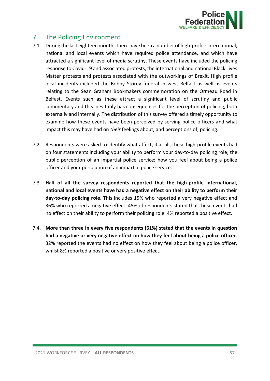

# 7. The Policing Environment

- 7.1. During the last eighteen months there have been a number of high-profile international, national and local events which have required police attendance, and which have attracted a significant level of media scrutiny. These events have included the policing response to Covid-19 and associated protests, the international and national Black Lives Matter protests and protests associated with the outworkings of Brexit. High profile local incidents included the Bobby Storey funeral in west Belfast as well as events relating to the Sean Graham Bookmakers commemoration on the Ormeau Road in Belfast. Events such as these attract a significant level of scrutiny and public commentary and this inevitably has consequences for the perception of policing, both externally and internally. The distribution of this survey offered a timely opportunity to examine how these events have been perceived by serving police officers and what impact this may have had on *their* feelings about, and perceptions of, policing.
- 7.2. Respondents were asked to identify what affect, if at all, these high-profile events had on four statements including your ability to perform your day-to-day policing role; the public perception of an impartial police service; how you feel about being a police officer and your perception of an impartial police service.
- 7.3. **Half of all the survey respondents reported that the high-profile international, national and local events have had a negative effect on their ability to perform their day-to-day policing role**. This includes 15% who reported a very negative effect and 36% who reported a negative effect. 45% of respondents stated that these events had no effect on their ability to perform their policing role. 4% reported a positive effect.
- 7.4. **More than three in every five respondents (61%) stated that the events in question had a negative or very negative effect on how they feel about being a police officer**. 32% reported the events had no effect on how they feel about being a police officer, whilst 8% reported a positive or very positive effect.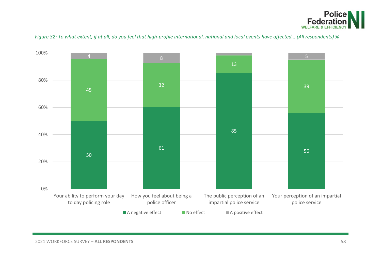



#### *Figure 32: To what extent, if at all, do you feel that high-profile international, national and local events have affected... (All respondents) %*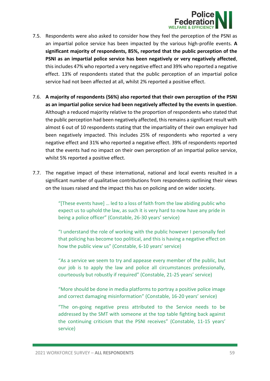

- 7.5. Respondents were also asked to consider how they feel the perception of the PSNI as an impartial police service has been impacted by the various high-profile events. **A significant majority of respondents, 85%, reported that the public perception of the PSNI as an impartial police service has been negatively or very negatively affected**, this includes 47% who reported a very negative effect and 39% who reported a negative effect. 13% of respondents stated that the public perception of an impartial police service had not been affected at all, whilst 2% reported a positive effect.
- 7.6. **A majority of respondents (56%) also reported that their own perception of the PSNI as an impartial police service had been negatively affected by the events in question**. Although a reduced majority relative to the proportion of respondents who stated that the public perception had been negatively affected, this remains a significant result with almost 6 out of 10 respondents stating that the impartiality of their own employer had been negatively impacted. This includes 25% of respondents who reported a very negative effect and 31% who reported a negative effect. 39% of respondents reported that the events had no impact on their own perception of an impartial police service, whilst 5% reported a positive effect.
- 7.7. The negative impact of these international, national and local events resulted in a significant number of qualitative contributions from respondents outlining their views on the issues raised and the impact this has on policing and on wider society.

"[These events have] … led to a loss of faith from the law abiding public who expect us to uphold the law, as such it is very hard to now have any pride in being a police officer" (Constable, 26-30 years' service)

"I understand the role of working with the public however I personally feel that policing has become too political, and this is having a negative effect on how the public view us" (Constable, 6-10 years' service)

"As a service we seem to try and appease every member of the public, but our job is to apply the law and police all circumstances professionally, courteously but robustly if required" (Constable, 21-25 years' service)

"More should be done in media platforms to portray a positive police image and correct damaging misinformation" (Constable, 16-20 years' service)

"The on-going negative press attributed to the Service needs to be addressed by the SMT with someone at the top table fighting back against the continuing criticism that the PSNI receives" (Constable, 11-15 years' service)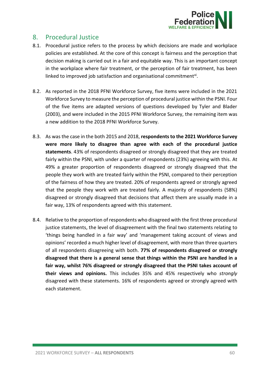

# 8. Procedural Justice

- 8.1. Procedural justice refers to the process by which decisions are made and workplace policies are established. At the core of this concept is fairness and the perception that decision making is carried out in a fair and equitable way. This is an important concept in the workplace where fair treatment, or the perception of fair treatment, has been linked to improved job satisfaction and organisational commitment<sup>xi</sup>.
- 8.2. As reported in the 2018 PFNI Workforce Survey, five items were included in the 2021 Workforce Survey to measure the perception of procedural justice within the PSNI. Four of the five items are adapted versions of questions developed by Tyler and Blader (2003), and were included in the 2015 PFNI Workforce Survey, the remaining item was a new addition to the 2018 PFNI Workforce Survey.
- 8.3. As was the case in the both 2015 and 2018, **respondents to the 2021 Workforce Survey were more likely to disagree than agree with each of the procedural justice statements**. 43% of respondents disagreed or strongly disagreed that they are treated fairly within the PSNI, with under a quarter of respondents (23%) agreeing with this. At 49% a greater proportion of respondents disagreed or strongly disagreed that the people they work with are treated fairly within the PSNI, compared to their perception of the fairness of how they are treated. 20% of respondents agreed or strongly agreed that the people they work with are treated fairly. A majority of respondents (58%) disagreed or strongly disagreed that decisions that affect them are usually made in a fair way, 13% of respondents agreed with this statement.
- 8.4. Relative to the proportion of respondents who disagreed with the first three procedural justice statements, the level of disagreement with the final two statements relating to 'things being handled in a fair way' and 'management taking account of views and opinions' recorded a much higher level of disagreement, with more than three quarters of all respondents disagreeing with both. **77% of respondents disagreed or strongly disagreed that there is a general sense that things within the PSNI are handled in a fair way, whilst 76% disagreed or strongly disagreed that the PSNI takes account of their views and opinions.** This includes 35% and 45% respectively who *strongly* disagreed with these statements. 16% of respondents agreed or strongly agreed with each statement.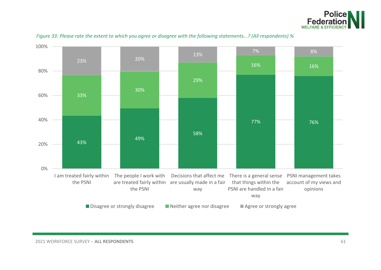



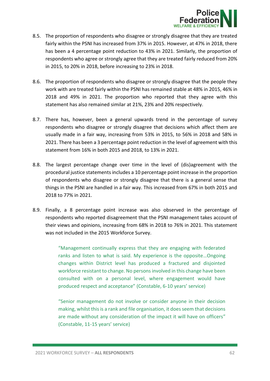

- 8.5. The proportion of respondents who disagree or strongly disagree that they are treated fairly within the PSNI has increased from 37% in 2015. However, at 47% in 2018, there has been a 4 percentage point reduction to 43% in 2021. Similarly, the proportion of respondents who agree or strongly agree that they are treated fairly reduced from 20% in 2015, to 20% in 2018, before increasing to 23% in 2018.
- 8.6. The proportion of respondents who disagree or strongly disagree that the people they work with are treated fairly within the PSNI has remained stable at 48% in 2015, 46% in 2018 and 49% in 2021. The proportion who reported that they agree with this statement has also remained similar at 21%, 23% and 20% respectively.
- 8.7. There has, however, been a general upwards trend in the percentage of survey respondents who disagree or strongly disagree that decisions which affect them are usually made in a fair way, increasing from 53% in 2015, to 56% in 2018 and 58% in 2021. There has been a 3 percentage point reduction in the level of agreement with this statement from 16% in both 2015 and 2018, to 13% in 2021.
- 8.8. The largest percentage change over time in the level of (dis)agreement with the procedural justice statements includes a 10 percentage point increase in the proportion of respondents who disagree or strongly disagree that there is a general sense that things in the PSNI are handled in a fair way. This increased from 67% in both 2015 and 2018 to 77% in 2021.
- 8.9. Finally, a 8 percentage point increase was also observed in the percentage of respondents who reported disagreement that the PSNI management takes account of their views and opinions, increasing from 68% in 2018 to 76% in 2021. This statement was not included in the 2015 Workforce Survey.

"Management continually express that they are engaging with federated ranks and listen to what is said. My experience is the opposite…Ongoing changes within District level has produced a fractured and disjointed workforce resistant to change. No persons involved in this change have been consulted with on a personal level, where engagement would have produced respect and acceptance" (Constable, 6-10 years' service)

"Senior management do not involve or consider anyone in their decision making, whilst this is a rank and file organisation, it does seem that decisions are made without any consideration of the impact it will have on officers" (Constable, 11-15 years' service)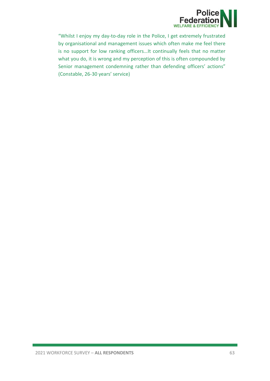

"Whilst I enjoy my day-to-day role in the Police, I get extremely frustrated by organisational and management issues which often make me feel there is no support for low ranking officers…It continually feels that no matter what you do, it is wrong and my perception of this is often compounded by Senior management condemning rather than defending officers' actions" (Constable, 26-30 years' service)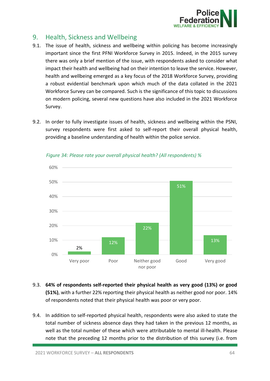

# 9. Health, Sickness and Wellbeing

- 9.1. The issue of health, sickness and wellbeing within policing has become increasingly important since the first PFNI Workforce Survey in 2015. Indeed, in the 2015 survey there was only a brief mention of the issue, with respondents asked to consider what impact their health and wellbeing had on their intention to leave the service. However, health and wellbeing emerged as a key focus of the 2018 Workforce Survey, providing a robust evidential benchmark upon which much of the data collated in the 2021 Workforce Survey can be compared. Such is the significance of this topic to discussions on modern policing, several new questions have also included in the 2021 Workforce Survey.
- 9.2. In order to fully investigate issues of health, sickness and wellbeing within the PSNI, survey respondents were first asked to self-report their overall physical health, providing a baseline understanding of health within the police service.



*Figure 34: Please rate your overall physical health? (All respondents) %*

- 9.3. **64% of respondents self-reported their physical health as very good (13%) or good (51%)**, with a further 22% reporting their physical health as neither good nor poor. 14% of respondents noted that their physical health was poor or very poor.
- 9.4. In addition to self-reported physical health, respondents were also asked to state the total number of sickness absence days they had taken in the previous 12 months, as well as the total number of these which were attributable to mental ill-health. Please note that the preceding 12 months prior to the distribution of this survey (i.e. from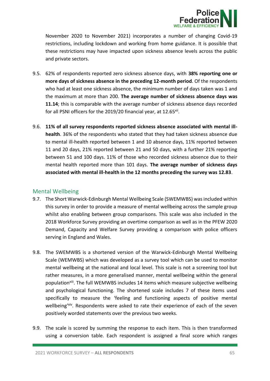

November 2020 to November 2021) incorporates a number of changing Covid-19 restrictions, including lockdown and working from home guidance. It is possible that these restrictions may have impacted upon sickness absence levels across the public and private sectors.

- 9.5. 62% of respondents reported zero sickness absence days, with **38% reporting one or more days of sickness absence in the preceding 12-month period**. Of the respondents who had at least one sickness absence, the minimum number of days taken was 1 and the maximum at more than 200. **The average number of sickness absence days was 11.14**; this is comparable with the average number of sickness absence days recorded for all PSNI officers for the 2019/20 financial year, at 12.65xii.
- 9.6. **11% of all survey respondents reported sickness absence associated with mental illhealth**. 36% of the respondents who stated that they had taken sickness absence due to mental ill-health reported between 1 and 10 absence days, 11% reported between 11 and 20 days, 21% reported between 21 and 50 days, with a further 21% reporting between 51 and 100 days. 11% of those who recorded sickness absence due to their mental health reported more than 101 days. **The average number of sickness days associated with mental ill-health in the 12 months preceding the survey was 12.83**.

### Mental Wellbeing

- 9.7. The Short Warwick-Edinburgh Mental Wellbeing Scale (SWEMWBS) was included within this survey in order to provide a measure of mental wellbeing across the sample group whilst also enabling between group comparisons. This scale was also included in the 2018 Workforce Survey providing an overtime comparison as well as in the PFEW 2020 Demand, Capacity and Welfare Survey providing a comparison with police officers serving in England and Wales.
- 9.8. The SWEMWBS is a shortened version of the Warwick-Edinburgh Mental Wellbeing Scale (WEMWBS) which was developed as a survey tool which can be used to monitor mental wellbeing at the national and local level. This scale is not a screening tool but rather measures, in a more generalised manner, mental wellbeing within the general population<sup>xiii</sup>. The full WEMWBS includes 14 items which measure subjective wellbeing and psychological functioning. The shortened scale includes 7 of these items used specifically to measure the 'feeling and functioning aspects of positive mental wellbeing<sup>'xiv</sup>. Respondents were asked to rate their experience of each of the seven positively worded statements over the previous two weeks.
- 9.9. The scale is scored by summing the response to each item. This is then transformed using a conversion table. Each respondent is assigned a final score which ranges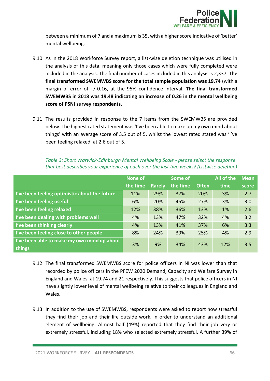

between a minimum of 7 and a maximum is 35, with a higher score indicative of 'better' mental wellbeing.

- 9.10. As in the 2018 Workforce Survey report, a list-wise deletion technique was utilised in the analysis of this data, meaning only those cases which were fully completed were included in the analysis. The final number of cases included in this analysis is 2,337. **The final transformed SWEMWBS score for the total sample population was 19.74** (with a margin of error of +/-0.16, at the 95% confidence interval. **The final transformed SWEMWBS in 2018 was 19.48 indicating an increase of 0.26 in the mental wellbeing score of PSNI survey respondents.**
- 9.11. The results provided in response to the 7 items from the SWEMWBS are provided below. The highest rated statement was 'I've been able to make up my own mind about things' with an average score of 3.5 out of 5, whilst the lowest rated stated was 'I've been feeling relaxed' at 2.6 out of 5.

|                                                       | <b>None of</b> |               | Some of  |              | All of the | <b>Mean</b> |
|-------------------------------------------------------|----------------|---------------|----------|--------------|------------|-------------|
|                                                       | the time       | <b>Rarely</b> | the time | <b>Often</b> | time       | score       |
| I've been feeling optimistic about the future         | 11%            | 29%           | 37%      | 20%          | 3%         | 2.7         |
| I've been feeling useful                              | 6%             | 20%           | 45%      | 27%          | 3%         | 3.0         |
| I've been feeling relaxed                             | 12%            | 38%           | 36%      | 13%          | 1%         | 2.6         |
| I've been dealing with problems well                  | 4%             | 13%           | 47%      | 32%          | 4%         | 3.2         |
| I've been thinking clearly                            | 4%             | 13%           | 41%      | 37%          | 6%         | 3.3         |
| I've been feeling close to other people               | 8%             | 24%           | 39%      | 25%          | 4%         | 2.9         |
| I've been able to make my own mind up about<br>things | 3%             | 9%            | 34%      | 43%          | 12%        | 3.5         |

*Table 3: Short Warwick-Edinburgh Mental Wellbeing Scale - please select the response that best describes your experience of each over the last two weeks? (Listwise deletion)*

- 9.12. The final transformed SWEMWBS score for police officers in NI was lower than that recorded by police officers in the PFEW 2020 Demand, Capacity and Welfare Survey in England and Wales, at 19.74 and 21 respectively. This suggests that police officers in NI have slightly lower level of mental wellbeing relative to their colleagues in England and Wales.
- 9.13. In addition to the use of SWEMWBS, respondents were asked to report how stressful they find their job and their life outside work, in order to understand an additional element of wellbeing. Almost half (49%) reported that they find their job very or extremely stressful, including 18% who selected extremely stressful. A further 39% of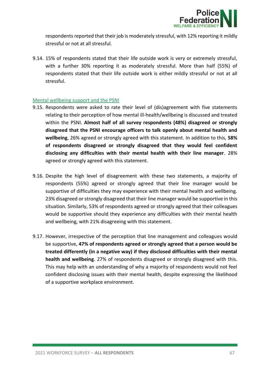

respondents reported that their job is moderately stressful, with 12% reporting it mildly stressful or not at all stressful.

9.14. 15% of respondents stated that their life outside work is very or extremely stressful, with a further 30% reporting it as moderately stressful. More than half (55%) of respondents stated that their life outside work is either mildly stressful or not at all stressful.

#### Mental wellbeing support and the PSNI

- 9.15. Respondents were asked to rate their level of (dis)agreement with five statements relating to their perception of how mental ill-health/wellbeing is discussed and treated within the PSNI. **Almost half of all survey respondents (48%) disagreed or strongly disagreed that the PSNI encourage officers to talk openly about mental health and wellbeing**, 26% agreed or strongly agreed with this statement. In addition to this, **58% of respondents disagreed or strongly disagreed that they would feel confident disclosing any difficulties with their mental health with their line manager**. 28% agreed or strongly agreed with this statement.
- 9.16. Despite the high level of disagreement with these two statements, a majority of respondents (55%) agreed or strongly agreed that their line manager would be supportive of difficulties they may experience with their mental health and wellbeing. 23% disagreed or strongly disagreed that their line manager would be supportive in this situation. Similarly, 53% of respondents agreed or strongly agreed that their colleagues would be supportive should they experience any difficulties with their mental health and wellbeing, with 21% disagreeing with this statement.
- 9.17. However, irrespective of the perception that line management and colleagues would be supportive, **47% of respondents agreed or strongly agreed that a person would be treated differently (in a negative way) if they disclosed difficulties with their mental health and wellbeing**. 27% of respondents disagreed or strongly disagreed with this. This may help with an understanding of why a majority of respondents would not feel confident disclosing issues with their mental health, despite expressing the likelihood of a supportive workplace environment.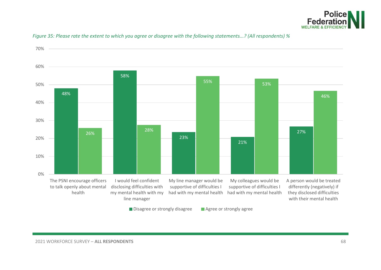



*Figure 35: Please rate the extent to which you agree or disagree with the following statements...? (All respondents) %*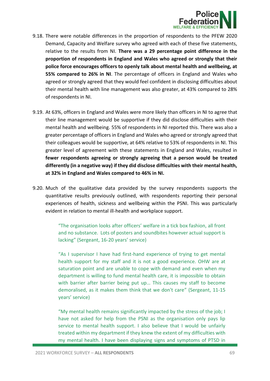

- 9.18. There were notable differences in the proportion of respondents to the PFEW 2020 Demand, Capacity and Welfare survey who agreed with each of these five statements, relative to the results from NI. **There was a 29 percentage point difference in the proportion of respondents in England and Wales who agreed or strongly that their police force encourages officers to openly talk about mental health and wellbeing, at 55% compared to 26% in NI**. The percentage of officers in England and Wales who agreed or strongly agreed that they would feel confident in disclosing difficulties about their mental health with line management was also greater, at 43% compared to 28% of respondents in NI.
- 9.19. At 63%, officers in England and Wales were more likely than officers in NI to agree that their line management would be supportive if they did disclose difficulties with their mental health and wellbeing. 55% of respondents in NI reported this. There was also a greater percentage of officers in England and Wales who agreed or strongly agreed that their colleagues would be supportive, at 64% relative to 53% of respondents in NI. This greater level of agreement with these statements in England and Wales, resulted in **fewer respondents agreeing or strongly agreeing that a person would be treated differently (in a negative way) if they did disclose difficulties with their mental health, at 32% in England and Wales compared to 46% in NI.**
- 9.20. Much of the qualitative data provided by the survey respondents supports the quantitative results previously outlined, with respondents reporting their personal experiences of health, sickness and wellbeing within the PSNI. This was particularly evident in relation to mental ill-health and workplace support.

"The organisation looks after officers' welfare in a tick box fashion, all front and no substance. Lots of posters and soundbites however actual support is lacking" (Sergeant, 16-20 years' service)

"As I supervisor I have had first-hand experience of trying to get mental health support for my staff and it is not a good experience. OHW are at saturation point and are unable to cope with demand and even when my department is willing to fund mental health care, it is impossible to obtain with barrier after barrier being put up… This causes my staff to become demoralised, as it makes them think that we don't care" (Sergeant, 11-15 years' service)

"My mental health remains significantly impacted by the stress of the job; I have not asked for help from the PSNI as the organisation only pays lip service to mental health support. I also believe that I would be unfairly treated within my department if they knew the extent of my difficulties with my mental health. I have been displaying signs and symptoms of PTSD in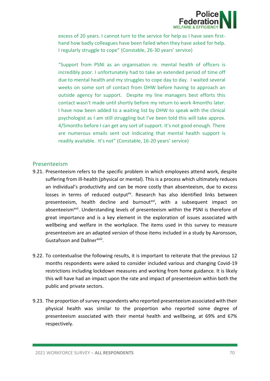

excess of 20 years. I cannot turn to the service for help as I have seen firsthand how badly colleagues have been failed when they have asked for help. I regularly struggle to cope" (Constable, 26-30 years' service)

"Support from PSNI as an organisation re. mental health of officers is incredibly poor. I unfortunately had to take an extended period of time off due to mental health and my struggles to cope day to day. I waited several weeks on some sort of contact from OHW before having to approach an outside agency for support. Despite my line managers best efforts this contact wasn't made until shortly before my return to work 4months later. I have now been added to a waiting list by OHW to speak with the clinical psychologist as I am still struggling but I've been told this will take approx. 4/5months before I can get any sort of support. It's not good enough. There are numerous emails sent out indicating that mental health support is readily available. It's not" (Constable, 16-20 years' service)

#### Presenteeism

- 9.21. Presenteeism refers to the specific problem in which employees attend work, despite suffering from ill-health (physical or mental). This is a process which ultimately reduces an individual's productivity and can be more costly than absenteeism, due to excess losses in terms of reduced output<sup>xv</sup>. Research has also identified links between presenteeism, health decline and burnout<sup>xvi</sup>, with a subsequent impact on absenteeism<sup>xvii</sup>. Understanding levels of presenteeism within the PSNI is therefore of great importance and is a key element in the exploration of issues associated with wellbeing and welfare in the workplace. The items used in this survey to measure presenteeism are an adapted version of those items included in a study by Aaronsson, Gustafsson and Dallnerxviii.
- 9.22. To contextualise the following results, it is important to reiterate that the previous 12 months respondents were asked to consider included various and changing Covid-19 restrictions including lockdown measures and working from home guidance. It is likely this will have had an impact upon the rate and impact of presenteeism within both the public and private sectors.
- 9.23. The proportion of survey respondents who reported presenteeism associated with their physical health was similar to the proportion who reported some degree of presenteeism associated with their mental health and wellbeing, at 69% and 67% respectively.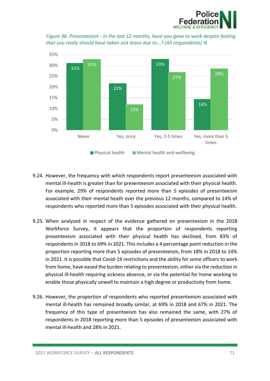

*Figure 36: Presenteeism - In the last 12 months, have you gone to work despite feeling that you really should have taken sick leave due to...? (All respondents) %*



- 9.24. However, the frequency with which respondents report presenteeism associated with mental ill-health is greater than for presenteeism associated with their physical health. For example, 29% of respondents reported more than 5 episodes of presenteeism associated with their mental heath over the previous 12 months, compared to 14% of respondents who reported more than 5 episodes associated with their physical health.
- 9.25. When analysed in respect of the evidence gathered on presenteeism in the 2018 Workforce Survey, it appears that the proportion of respondents reporting presenteeism associated with their physical health has declined, from 83% of respondents in 2018 to 69% in 2021. This includes a 4 percentage point reduction in the proportion reporting more than 5 episodes of presenteeism, from 18% in 2018 to 14% in 2021. It is possible that Covid-19 restrictions and the ability for *some* officers to work from home, have eased the burden relating to presenteeism, either via the reduction in physical ill-health requiring sickness absence, or via the potential for home working to enable those physically unwell to maintain a high degree or productivity from home.
- 9.26. However, the proportion of respondents who reported presenteeism associated with mental ill-health has remained broadly similar, at 69% in 2018 and 67% in 2021. The frequency of this type of presenteeism has also remained the same, with 27% of respondents in 2018 reporting more than 5 episodes of presenteeism associated with mental ill-health and 28% in 2021.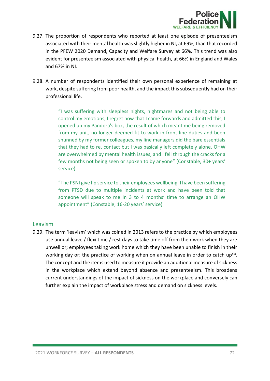

- 9.27. The proportion of respondents who reported at least one episode of presenteeism associated with their mental health was slightly higher in NI, at 69%, than that recorded in the PFEW 2020 Demand, Capacity and Welfare Survey at 66%. This trend was also evident for presenteeism associated with physical health, at 66% in England and Wales and 67% in NI.
- 9.28. A number of respondents identified their own personal experience of remaining at work, despite suffering from poor health, and the impact this subsequently had on their professional life.

"I was suffering with sleepless nights, nightmares and not being able to control my emotions, I regret now that I came forwards and admitted this, I opened up my Pandora's box, the result of which meant me being removed from my unit, no longer deemed fit to work in front line duties and been shunned by my former colleagues, my line managers did the bare essentials that they had to re. contact but I was basically left completely alone. OHW are overwhelmed by mental health issues, and I fell through the cracks for a few months not being seen or spoken to by anyone" (Constable, 30+ years' service)

"The PSNI give lip service to their employees wellbeing. I have been suffering from PTSD due to multiple incidents at work and have been told that someone will speak to me in 3 to 4 months' time to arrange an OHW appointment" (Constable, 16-20 years' service)

### Leavism

9.29. The term 'leavism' which was coined in 2013 refers to the practice by which employees use annual leave / flexi time / rest days to take time off from their work when they are unwell or; employees taking work home which they have been unable to finish in their working day or; the practice of working when on annual leave in order to catch up<sup>xix</sup>. The concept and the items used to measure it provide an additional measure of sickness in the workplace which extend beyond absence and presenteeism. This broadens current understandings of the impact of sickness on the workplace and conversely can further explain the impact of workplace stress and demand on sickness levels.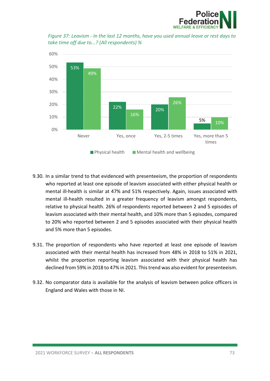

*Figure 37: Leavism - In the last 12 months, have you used annual leave or rest days to take time off due to...? (All respondents) %*



- 9.30. In a similar trend to that evidenced with presenteeism, the proportion of respondents who reported at least one episode of leavism associated with either physical health or mental ill-health is similar at 47% and 51% respectively. Again, issues associated with mental ill-health resulted in a greater frequency of leavism amongst respondents, relative to physical health. 26% of respondents reported between 2 and 5 episodes of leavism associated with their mental health, and 10% more than 5 episodes, compared to 20% who reported between 2 and 5 episodes associated with their physical health and 5% more than 5 episodes.
- 9.31. The proportion of respondents who have reported at least one episode of leavism associated with their mental health has increased from 48% in 2018 to 51% in 2021, whilst the proportion reporting leavism associated with their physical health has declined from 59% in 2018 to 47% in 2021. This trend was also evident for presenteeism.
- 9.32. No comparator data is available for the analysis of leavism between police officers in England and Wales with those in NI.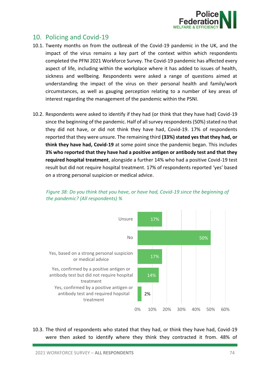

# 10. Policing and Covid-19

- 10.1. Twenty months on from the outbreak of the Covid-19 pandemic in the UK, and the impact of the virus remains a key part of the context within which respondents completed the PFNI 2021 Workforce Survey. The Covid-19 pandemic has affected every aspect of life, including within the workplace where it has added to issues of health, sickness and wellbeing. Respondents were asked a range of questions aimed at understanding the impact of the virus on their personal health and family/work circumstances, as well as gauging perception relating to a number of key areas of interest regarding the management of the pandemic within the PSNI.
- 10.2. Respondents were asked to identify if they had (or think that they have had) Covid-19 since the beginning of the pandemic. Half of all survey respondents (50%) stated no that they did not have, or did not think they have had, Covid-19. 17% of respondents reported that they were unsure. The remaining third **(33%) stated yes that they had, or think they have had, Covid-19** at some point since the pandemic began. This includes **3% who reported that they have had a positive antigen or antibody test and that they required hospital treatment**, alongside a further 14% who had a positive Covid-19 test result but did not require hospital treatment. 17% of respondents reported 'yes' based on a strong personal suspicion or medical advice.

### *Figure 38: Do you think that you have, or have had, Covid-19 since the beginning of the pandemic? (All respondents) %*



10.3. The third of respondents who stated that they had, or think they have had, Covid-19 were then asked to identify where they think they contracted it from. 48% of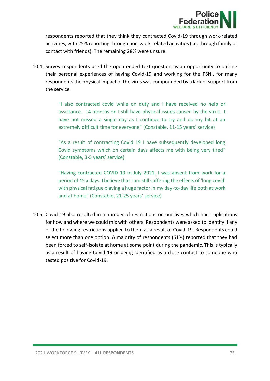

respondents reported that they think they contracted Covid-19 through work-related activities, with 25% reporting through non-work-related activities (i.e. through family or contact with friends). The remaining 28% were unsure.

10.4. Survey respondents used the open-ended text question as an opportunity to outline their personal experiences of having Covid-19 and working for the PSNI, for many respondents the physical impact of the virus was compounded by a lack of support from the service.

> "I also contracted covid while on duty and I have received no help or assistance. 14 months on I still have physical issues caused by the virus. I have not missed a single day as I continue to try and do my bit at an extremely difficult time for everyone" (Constable, 11-15 years' service)

> "As a result of contracting Covid 19 I have subsequently developed long Covid symptoms which on certain days affects me with being very tired" (Constable, 3-5 years' service)

> "Having contracted COVID 19 in July 2021, I was absent from work for a period of 45 x days. I believe that I am still suffering the effects of 'long covid' with physical fatigue playing a huge factor in my day-to-day life both at work and at home" (Constable, 21-25 years' service)

10.5. Covid-19 also resulted in a number of restrictions on our lives which had implications for how and where we could mix with others. Respondents were asked to identify if any of the following restrictions applied to them as a result of Covid-19. Respondents could select more than one option. A majority of respondents (61%) reported that they had been forced to self-isolate at home at some point during the pandemic. This is typically as a result of having Covid-19 or being identified as a close contact to someone who tested positive for Covid-19.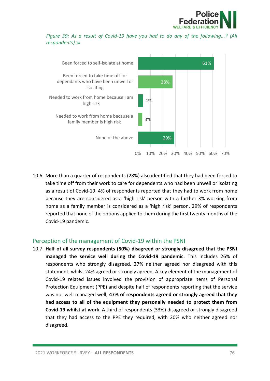

*Figure 39: As a result of Covid-19 have you had to do any of the following...? (All respondents) %*



10.6. More than a quarter of respondents (28%) also identified that they had been forced to take time off from their work to care for dependents who had been unwell or isolating as a result of Covid-19. 4% of respondents reported that they had to work from home because they are considered as a 'high risk' person with a further 3% working from home as a family member is considered as a 'high risk' person. 29% of respondents reported that none of the options applied to them during the first twenty months of the Covid-19 pandemic.

### Perception of the management of Covid-19 within the PSNI

10.7. **Half of all survey respondents (50%) disagreed or strongly disagreed that the PSNI managed the service well during the Covid-19 pandemic**. This includes 26% of respondents who strongly disagreed. 27% neither agreed nor disagreed with this statement, whilst 24% agreed or strongly agreed. A key element of the management of Covid-19 related issues involved the provision of appropriate items of Personal Protection Equipment (PPE) and despite half of respondents reporting that the service was not well managed well, **47% of respondents agreed or strongly agreed that they had access to all of the equipment they personally needed to protect them from Covid-19 whilst at work**. A third of respondents (33%) disagreed or strongly disagreed that they had access to the PPE they required, with 20% who neither agreed nor disagreed.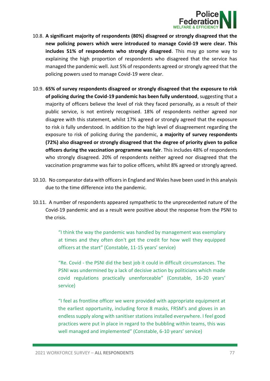

- 10.8. **A significant majority of respondents (80%) disagreed or strongly disagreed that the new policing powers which were introduced to manage Covid-19 were clear. This includes 51% of respondents who strongly disagreed**. This may go some way to explaining the high proportion of respondents who disagreed that the service has managed the pandemic well. Just 5% of respondents agreed or strongly agreed that the policing powers used to manage Covid-19 were clear.
- 10.9. **65% of survey respondents disagreed or strongly disagreed that the exposure to risk of policing during the Covid-19 pandemic has been fully understood**, suggesting that a majority of officers believe the level of risk they faced personally, as a result of their public service, is not entirely recognised. 18% of respondents neither agreed nor disagree with this statement, whilst 17% agreed or strongly agreed that the exposure to risk *is* fully understood. In addition to the high level of disagreement regarding the exposure to risk of policing during the pandemic, **a majority of survey respondents (72%) also disagreed or strongly disagreed that the degree of priority given to police officers during the vaccination programme was fair**. This includes 48% of respondents who strongly disagreed. 20% of respondents neither agreed nor disagreed that the vaccination programme was fair to police officers, whilst 8% agreed or strongly agreed.
- 10.10. No comparator data with officers in England and Wales have been used in this analysis due to the time difference into the pandemic.
- 10.11. A number of respondents appeared sympathetic to the unprecedented nature of the Covid-19 pandemic and as a result were positive about the response from the PSNI to the crisis.

"I think the way the pandemic was handled by management was exemplary at times and they often don't get the credit for how well they equipped officers at the start" (Constable, 11-15 years' service)

"Re. Covid - the PSNI did the best job it could in difficult circumstances. The PSNI was undermined by a lack of decisive action by politicians which made covid regulations practically unenforceable" (Constable, 16-20 years' service)

"I feel as frontline officer we were provided with appropriate equipment at the earliest opportunity, including force 8 masks, FRSM's and gloves in an endless supply along with sanitiser stations installed everywhere. I feel good practices were put in place in regard to the bubbling within teams, this was well managed and implemented" (Constable, 6-10 years' service)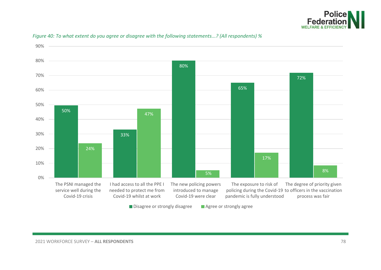



#### *Figure 40: To what extent do you agree or disagree with the following statements...? (All respondents) %*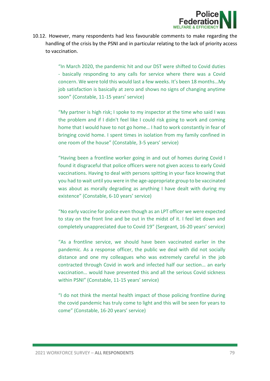

10.12. However, many respondents had less favourable comments to make regarding the handling of the crisis by the PSNI and in particular relating to the lack of priority access to vaccination.

> "In March 2020, the pandemic hit and our DST were shifted to Covid duties - basically responding to any calls for service where there was a Covid concern. We were told this would last a few weeks. It's been 18 months…My job satisfaction is basically at zero and shows no signs of changing anytime soon" (Constable, 11-15 years' service)

> "My partner is high risk; I spoke to my inspector at the time who said I was the problem and if I didn't feel like I could risk going to work and coming home that I would have to not go home… I had to work constantly in fear of bringing covid home. I spent times in isolation from my family confined in one room of the house" (Constable, 3-5 years' service)

> "Having been a frontline worker going in and out of homes during Covid I found it disgraceful that police officers were not given access to early Covid vaccinations. Having to deal with persons spitting in your face knowing that you had to wait until you were in the age-appropriate group to be vaccinated was about as morally degrading as anything I have dealt with during my existence" (Constable, 6-10 years' service)

> "No early vaccine for police even though as an LPT officer we were expected to stay on the front line and be out in the midst of it. I feel let down and completely unappreciated due to Covid 19" (Sergeant, 16-20 years' service)

> "As a frontline service, we should have been vaccinated earlier in the pandemic. As a response officer, the public we deal with did not socially distance and one my colleagues who was extremely careful in the job contracted through Covid in work and infected half our section… an early vaccination… would have prevented this and all the serious Covid sickness within PSNI" (Constable, 11-15 years' service)

> "I do not think the mental health impact of those policing frontline during the covid pandemic has truly come to light and this will be seen for years to come" (Constable, 16-20 years' service)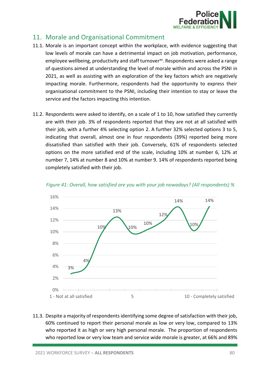

# 11. Morale and Organisational Commitment

- 11.1. Morale is an important concept within the workplace, with evidence suggesting that low levels of morale can have a detrimental impact on job motivation, performance, employee wellbeing, productivity and staff turnover<sup>xx</sup>. Respondents were asked a range of questions aimed at understanding the level of morale within and across the PSNI in 2021, as well as assisting with an exploration of the key factors which are negatively impacting morale. Furthermore, respondents had the opportunity to express their organisational commitment to the PSNI, including their intention to stay or leave the service and the factors impacting this intention.
- 11.2. Respondents were asked to identify, on a scale of 1 to 10, how satisfied they currently are with their job. 3% of respondents reported that they are not at all satisfied with their job, with a further 4% selecting option 2. A further 32% selected options 3 to 5, indicating that overall, almost one in four respondents (39%) reported being more dissatisfied than satisfied with their job. Conversely, 61% of respondents selected options on the more satisfied end of the scale, including 10% at number 6, 12% at number 7, 14% at number 8 and 10% at number 9. 14% of respondents reported being completely satisfied with their job.





11.3. Despite a majority of respondents identifying some degree of satisfaction with their job, 60% continued to report their personal morale as low or very low, compared to 13% who reported it as high or very high personal morale. The proportion of respondents who reported low or very low team and service wide morale is greater, at 66% and 89%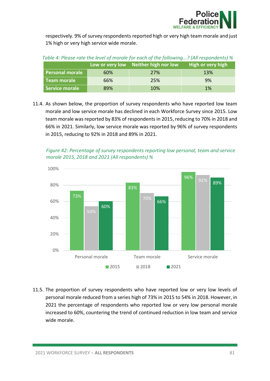

respectively. 9% of survey respondents reported high or very high team morale and just 1% high or very high service wide morale.

| Table 4: Please rate the level of morale for each of the following? [All respondents] % |     |                                      |                   |
|-----------------------------------------------------------------------------------------|-----|--------------------------------------|-------------------|
|                                                                                         |     | Low or very low Neither high nor low | High or very high |
| <b>Personal morale</b>                                                                  | 60% | <b>27%</b>                           | 13%               |
| Team morale                                                                             | 66% | 25%                                  | 9%                |
| Service morale                                                                          | 89% | 10%                                  | 1%                |

*Table 4: Please rate the level of morale for each of the following...? (All respondents) %*

11.4. As shown below, the proportion of survey respondents who have reported low team morale and low service morale has declined in each Workforce Survey since 2015. Low team morale was reported by 83% of respondents in 2015, reducing to 70% in 2018 and 66% in 2021. Similarly, low service morale was reported by 96% of survey respondents in 2015, reducing to 92% in 2018 and 89% in 2021.

*Figure 42: Percentage of survey respondents reporting low personal, team and service morale 2015, 2018 and 2021 (All respondents) %*



11.5. The proportion of survey respondents who have reported low or very low levels of personal morale reduced from a series high of 73% in 2015 to 54% in 2018. However, in 2021 the percentage of respondents who reported low or very low personal morale increased to 60%, countering the trend of continued reduction in low team and service wide morale.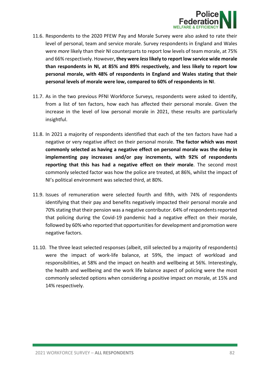

- 11.6. Respondents to the 2020 PFEW Pay and Morale Survey were also asked to rate their level of personal, team and service morale. Survey respondents in England and Wales were *more* likely than their NI counterparts to report low levels of team morale, at 75% and 66% respectively. However**, they were** *less***likely to report low service wide morale than respondents in NI, at 85% and 89% respectively, and less likely to report low personal morale, with 48% of respondents in England and Wales stating that their personal levels of morale were low, compared to 60% of respondents in NI**.
- 11.7. As in the two previous PFNI Workforce Surveys, respondents were asked to identify, from a list of ten factors, how each has affected their personal morale. Given the increase in the level of low personal morale in 2021, these results are particularly insightful.
- 11.8. In 2021 a majority of respondents identified that each of the ten factors have had a negative or very negative affect on their personal morale. **The factor which was most commonly selected as having a negative effect on personal morale was the delay in implementing pay increases and/or pay increments, with 92% of respondents reporting that this has had a negative effect on their morale**. The second most commonly selected factor was how the police are treated, at 86%, whilst the impact of NI's political environment was selected third, at 80%.
- 11.9. Issues of remuneration were selected fourth and fifth, with 74% of respondents identifying that their pay and benefits negatively impacted their personal morale and 70% stating that their pension was a negative contributor. 64% of respondents reported that policing during the Covid-19 pandemic had a negative effect on their morale, followed by 60% who reported that opportunities for development and promotion were negative factors.
- 11.10. The three least selected responses (albeit, still selected by a majority of respondents) were the impact of work-life balance, at 59%, the impact of workload and responsibilities, at 58% and the impact on health and wellbeing at 56%. Interestingly, the health and wellbeing and the work life balance aspect of policing were the most commonly selected options when considering a positive impact on morale, at 15% and 14% respectively.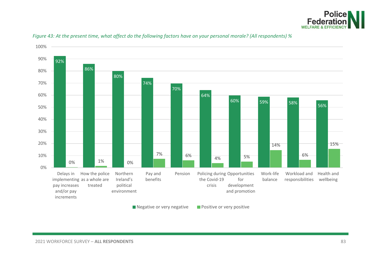



### *Figure 43: At the present time, what affect do the following factors have on your personal morale? (All respondents) %*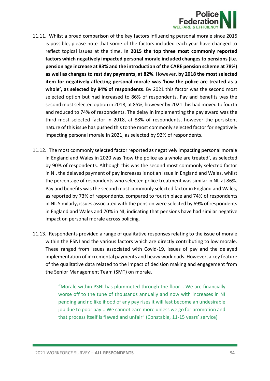

- 11.11. Whilst a broad comparison of the key factors influencing personal morale since 2015 is possible, please note that some of the factors included each year have changed to reflect topical issues at the time. **In 2015 the top three most commonly reported factors which negatively impacted personal morale included changes to pensions (i.e. pension age increase at 83% and the introduction of the CARE pension scheme at 78%) as well as changes to rest day payments, at 82%**. However, **by 2018 the most selected item for negatively affecting personal morale was 'how the police are treated as a whole', as selected by 84% of respondents**. By 2021 this factor was the second most selected option but had increased to 86% of respondents. Pay and benefits was the second most selected option in 2018, at 85%, however by 2021 this had moved to fourth and reduced to 74% of respondents. The delay in implementing the pay award was the third most selected factor in 2018, at 88% of respondents, however the persistent nature of this issue has pushed this to the most commonly selected factor for negatively impacting personal morale in 2021, as selected by 92% of respondents.
- 11.12. The most commonly selected factor reported as negatively impacting personal morale in England and Wales in 2020 was 'how the police as a whole are treated', as selected by 90% of respondents. Although this was the second most commonly selected factor in NI, the delayed payment of pay increases is not an issue in England and Wales, whilst the percentage of respondents who selected police treatment was similar in NI, at 86%. Pay and benefits was the second most commonly selected factor in England and Wales, as reported by 73% of respondents, compared to fourth place and 74% of respondents in NI. Similarly, issues associated with the pension were selected by 69% of respondents in England and Wales and 70% in NI, indicating that pensions have had similar negative impact on personal morale across policing.
- 11.13. Respondents provided a range of qualitative responses relating to the issue of morale within the PSNI and the various factors which are directly contributing to low morale. These ranged from issues associated with Covid-19, issues of pay and the delayed implementation of incremental payments and heavy workloads. However, a key feature of the qualitative data related to the impact of decision making and engagement from the Senior Management Team (SMT) on morale.

"Morale within PSNI has plummeted through the floor… We are financially worse off to the tune of thousands annually and now with increases in NI pending and no likelihood of any pay rises it will fast become an undesirable job due to poor pay... We cannot earn more unless we go for promotion and that process itself is flawed and unfair" (Constable, 11-15 years' service)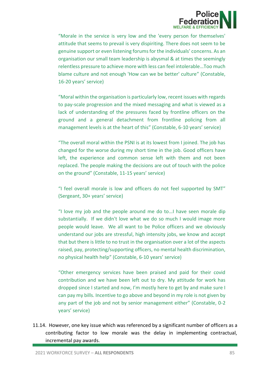

"Morale in the service is very low and the 'every person for themselves' attitude that seems to prevail is very dispiriting. There does not seem to be genuine support or even listening forums for the individuals' concerns. As an organisation our small team leadership is abysmal & at times the seemingly relentless pressure to achieve more with less can feel intolerable…Too much blame culture and not enough 'How can we be better' culture" (Constable, 16-20 years' service)

"Moral within the organisation is particularly low, recent issues with regards to pay-scale progression and the mixed messaging and what is viewed as a lack of understanding of the pressures faced by frontline officers on the ground and a general detachment from frontline policing from all management levels is at the heart of this" (Constable, 6-10 years' service)

"The overall moral within the PSNI is at its lowest from I joined. The job has changed for the worse during my short time in the job. Good officers have left, the experience and common sense left with them and not been replaced. The people making the decisions are out of touch with the police on the ground" (Constable, 11-15 years' service)

"I feel overall morale is low and officers do not feel supported by SMT" (Sergeant, 30+ years' service)

"I love my job and the people around me do to…I have seen morale dip substantially. If we didn't love what we do so much I would image more people would leave. We all want to be Police officers and we obviously understand our jobs are stressful, high intensity jobs, we know and accept that but there is little to no trust in the organisation over a lot of the aspects raised, pay, protecting/supporting officers, no mental health discrimination, no physical health help" (Constable, 6-10 years' service)

"Other emergency services have been praised and paid for their covid contribution and we have been left out to dry. My attitude for work has dropped since I started and now, I'm mostly here to get by and make sure I can pay my bills. Incentive to go above and beyond in my role is not given by any part of the job and not by senior management either" (Constable, 0-2 years' service)

11.14. However, one key issue which was referenced by a significant number of officers as a contributing factor to low morale was the delay in implementing contractual, incremental pay awards.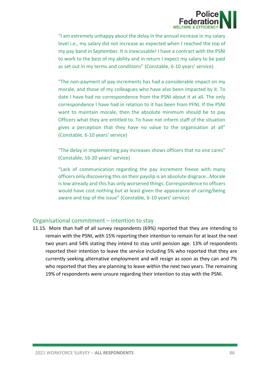

"I am extremely unhappy about the delay in the annual increase in my salary level i.e., my salary did not increase as expected when I reached the top of my pay band in September. It is inexcusable! I have a contract with the PSNI to work to the best of my ability and in return I expect my salary to be paid as set out in my terms and conditions" (Constable, 6-10 years' service)

"The non-payment of pay increments has had a considerable impact on my morale, and those of my colleagues who have also been impacted by it. To date I have had no correspondence from the PSNI about it at all. The only correspondence I have had in relation to it has been from PFNI. If the PSNI want to maintain morale, then the absolute minimum should be to pay Officers what they are entitled to. To have not inform staff of the situation gives a perception that they have no value to the organisation at all" (Constable, 6-10 years' service)

"The delay in implementing pay increases shows officers that no one cares" (Constable, 16-20 years' service)

"Lack of communication regarding the pay increment freeze with many officers only discovering this on their payslip is an absolute disgrace…Morale is low already and this has only worsened things. Correspondence to officers would have cost nothing but at least given the appearance of caring/being aware and top of the issue" (Constable, 6-10 years' service)

### Organisational commitment – intention to stay

11.15. More than half of all survey respondents (69%) reported that they are intending to remain with the PSNI, with 15% reporting their intention to remain for at least the next two years and 54% stating they intend to stay until pension age. 13% of respondents reported their intention to leave the service including 5% who reported that they are currently seeking alternative employment and will resign as soon as they can and 7% who reported that they are planning to leave within the next two years. The remaining 19% of respondents were unsure regarding their intention to stay with the PSNI.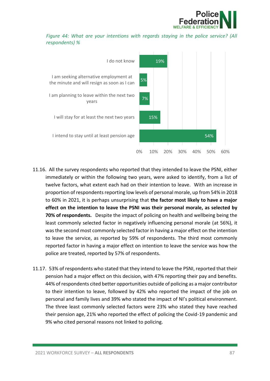

*Figure 44: What are your intentions with regards staying in the police service? (All respondents) %*



- 11.16. All the survey respondents who reported that they intended to leave the PSNI, either immediately or within the following two years, were asked to identify, from a list of twelve factors, what extent each had on their intention to leave. With an increase in proportion of respondents reporting low levels of personal morale, up from 54% in 2018 to 60% in 2021, it is perhaps unsurprising that **the factor most likely to have a major effect on the intention to leave the PSNI was their personal morale, as selected by 70% of respondents.** Despite the impact of policing on health and wellbeing being the least commonly selected factor in negatively influencing personal morale (at 56%), it was the second most commonly selected factor in having a major effect on the intention to leave the service, as reported by 59% of respondents. The third most commonly reported factor in having a major effect on intention to leave the service was how the police are treated, reported by 57% of respondents.
- 11.17. 53% of respondents who stated that they intend to leave the PSNI, reported that their pension had a major effect on this decision, with 47% reporting their pay and benefits. 44% of respondents cited better opportunities outside of policing as a major contributor to their intention to leave, followed by 42% who reported the impact of the job on personal and family lives and 39% who stated the impact of NI's political environment. The three least commonly selected factors were 23% who stated they have reached their pension age, 21% who reported the effect of policing the Covid-19 pandemic and 9% who cited personal reasons not linked to policing.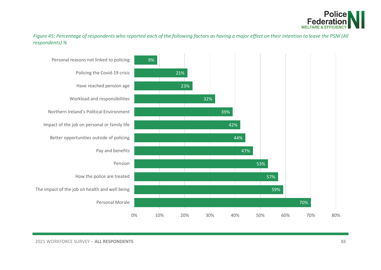

*Figure 45: Percentage of respondents who reported each of the following factors as having a major effect on their intention to leave the PSNI (All respondents) %*

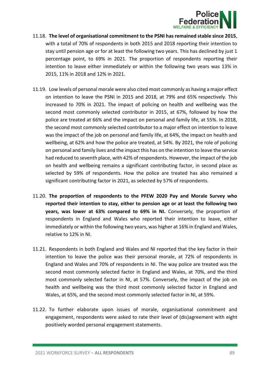

- 11.18. **The level of organisational commitment to the PSNI has remained stable since 2015**, with a total of 70% of respondents in both 2015 and 2018 reporting their intention to stay until pension age or for at least the following two years. This has declined by just 1 percentage point, to 69% in 2021. The proportion of respondents reporting their intention to leave either immediately or within the following two years was 13% in 2015, 11% in 2018 and 12% in 2021.
- 11.19. Low levels of personal morale were also cited most commonly as having a major effect on intention to leave the PSNI in 2015 and 2018, at 79% and 65% respectively. This increased to 70% in 2021. The impact of policing on health and wellbeing was the second most commonly selected contributor in 2015, at 67%, followed by how the police are treated at 66% and the impact on personal and family life, at 55%. In 2018, the second most commonly selected contributor to a major effect on intention to leave was the impact of the job on personal and family life, at 64%, the impact on health and wellbeing, at 62% and how the police are treated, at 54%. By 2021, the role of policing on personal and family lives and the impact this has on the intention to leave the service had reduced to seventh place, with 42% of respondents. However, the impact of the job on health and wellbeing remains a significant contributing factor, in second place as selected by 59% of respondents. How the police are treated has also remained a significant contributing factor in 2021, as selected by 57% of respondents.
- 11.20. **The proportion of respondents to the PFEW 2020 Pay and Morale Survey who reported their intention to stay, either to pension age or at least the following two years, was lower at 63% compared to 69% in NI.** Conversely, the proportion of respondents in England and Wales who reported their intention to leave, either immediately or within the following two years, was higher at 16% in England and Wales, relative to 12% in NI.
- 11.21. Respondents in both England and Wales and NI reported that the key factor in their intention to leave the police was their personal morale, at 72% of respondents in England and Wales and 70% of respondents in NI. The way police are treated was the second most commonly selected factor in England and Wales, at 70%, and the third most commonly selected factor in NI, at 57%. Conversely, the impact of the job on health and wellbeing was the third most commonly selected factor in England and Wales, at 65%, and the second most commonly selected factor in NI, at 59%.
- 11.22. To further elaborate upon issues of morale, organisational commitment and engagement, respondents were asked to rate their level of (dis)agreement with eight positively worded personal engagement statements.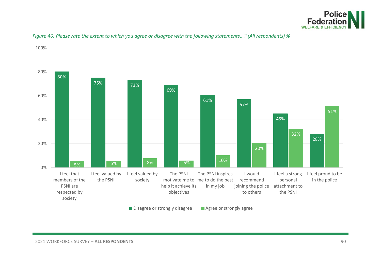



### *Figure 46: Please rate the extent to which you agree or disagree with the following statements...? (All respondents) %*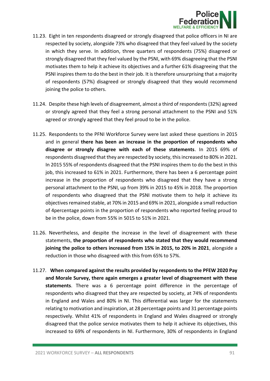

- 11.23. Eight in ten respondents disagreed or strongly disagreed that police officers in NI are respected by society, alongside 73% who disagreed that they feel valued by the society in which they serve. In addition, three quarters of respondents (75%) disagreed or strongly disagreed that they feel valued by the PSNI, with 69% disagreeing that the PSNI motivates them to help it achieve its objectives and a further 61% disagreeing that the PSNI inspires them to do the best in their job. It is therefore unsurprising that a majority of respondents (57%) disagreed or strongly disagreed that they would recommend joining the police to others.
- 11.24. Despite these high levels of disagreement, almost a third of respondents (32%) agreed or strongly agreed that they feel a strong personal attachment to the PSNI and 51% agreed or strongly agreed that they feel proud to be in the police.
- 11.25. Respondents to the PFNI Workforce Survey were last asked these questions in 2015 and in general **there has been an increase in the proportion of respondents who disagree or strongly disagree with each of these statements**. In 2015 69% of respondents disagreed that they are respected by society, this increased to 80% in 2021. In 2015 55% of respondents disagreed that the PSNI inspires them to do the best in this job, this increased to 61% in 2021. Furthermore, there has been a 6 percentage point increase in the proportion of respondents who disagreed that they have a strong personal attachment to the PSNI, up from 39% in 2015 to 45% in 2018. The proportion of respondents who disagreed that the PSNI motivate them to help it achieve its objectives remained stable, at 70% in 2015 and 69% in 2021, alongside a small reduction of 4percentage points in the proportion of respondents who reported feeling proud to be in the police, down from 55% in 5015 to 51% in 2021.
- 11.26. Nevertheless, and despite the increase in the level of disagreement with these statements, **the proportion of respondents who stated that they would recommend joining the police to others increased from 15% in 2015, to 20% in 2021**, alongside a reduction in those who disagreed with this from 65% to 57%.
- 11.27. **When compared against the results provided by respondents to the PFEW 2020 Pay and Morale Survey, there again emerges a greater level of disagreement with these statements**. There was a 6 percentage point difference in the percentage of respondents who disagreed that they are respected by society, at 74% of respondents in England and Wales and 80% in NI. This differential was larger for the statements relating to motivation and inspiration, at 28 percentage points and 31 percentage points respectively. Whilst 41% of respondents in England and Wales disagreed or strongly disagreed that the police service motivates them to help it achieve its objectives, this increased to 69% of respondents in NI. Furthermore, 30% of respondents in England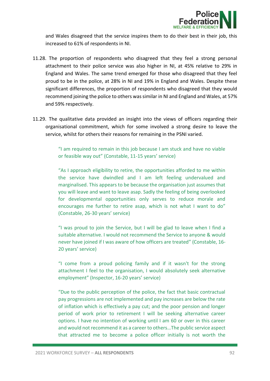

and Wales disagreed that the service inspires them to do their best in their job, this increased to 61% of respondents in NI.

- 11.28. The proportion of respondents who disagreed that they feel a strong personal attachment to their police service was also higher in NI, at 45% relative to 29% in England and Wales. The same trend emerged for those who disagreed that they feel proud to be in the police, at 28% in NI and 19% in England and Wales. Despite these significant differences, the proportion of respondents who disagreed that they would recommend joining the police to others was similar in NI and England and Wales, at 57% and 59% respectively.
- 11.29. The qualitative data provided an insight into the views of officers regarding their organisational commitment, which for some involved a strong desire to leave the service, whilst for others their reasons for remaining in the PSNI varied.

"I am required to remain in this job because I am stuck and have no viable or feasible way out" (Constable, 11-15 years' service)

"As I approach eligibility to retire, the opportunities afforded to me within the service have dwindled and I am left feeling undervalued and marginalised. This appears to be because the organisation just assumes that you will leave and want to leave asap. Sadly the feeling of being overlooked for developmental opportunities only serves to reduce morale and encourages me further to retire asap, which is not what I want to do" (Constable, 26-30 years' service)

"I was proud to join the Service, but I will be glad to leave when I find a suitable alternative. I would not recommend the Service to anyone & would never have joined if I was aware of how officers are treated" (Constable, 16- 20 years' service)

"I come from a proud policing family and if it wasn't for the strong attachment I feel to the organisation, I would absolutely seek alternative employment" (Inspector, 16-20 years' service)

"Due to the public perception of the police, the fact that basic contractual pay progressions are not implemented and pay increases are below the rate of inflation which is effectively a pay cut; and the poor pension and longer period of work prior to retirement I will be seeking alternative career options. I have no intention of working until I am 60 or over in this career and would not recommend it as a career to others…The public service aspect that attracted me to become a police officer initially is not worth the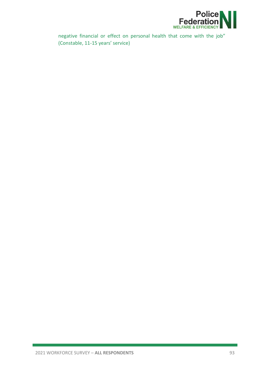

negative financial or effect on personal health that come with the job" (Constable, 11-15 years' service)